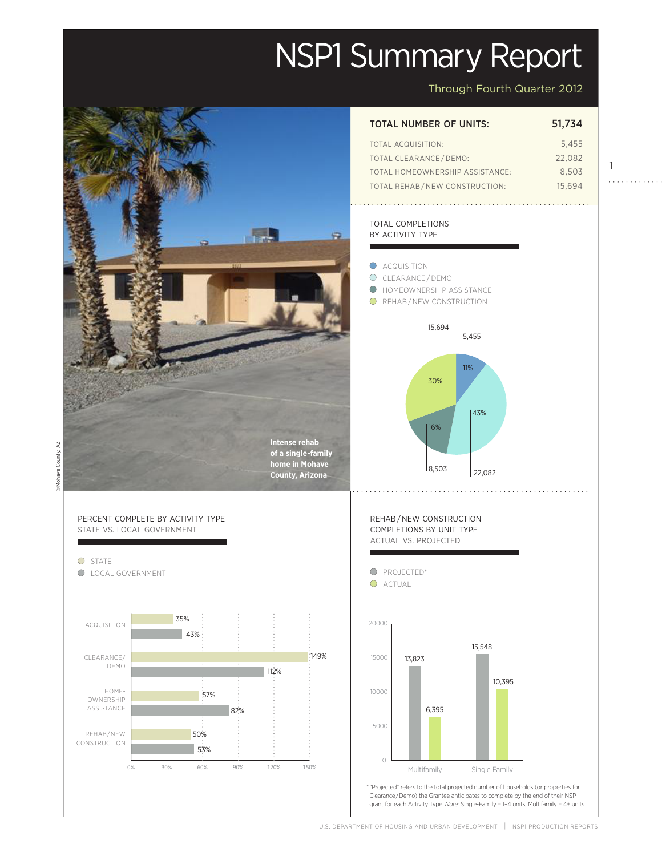# NSP1 Summary Report

Through Fourth Quarter 2012

1

Actual

149%

Projected

Projected

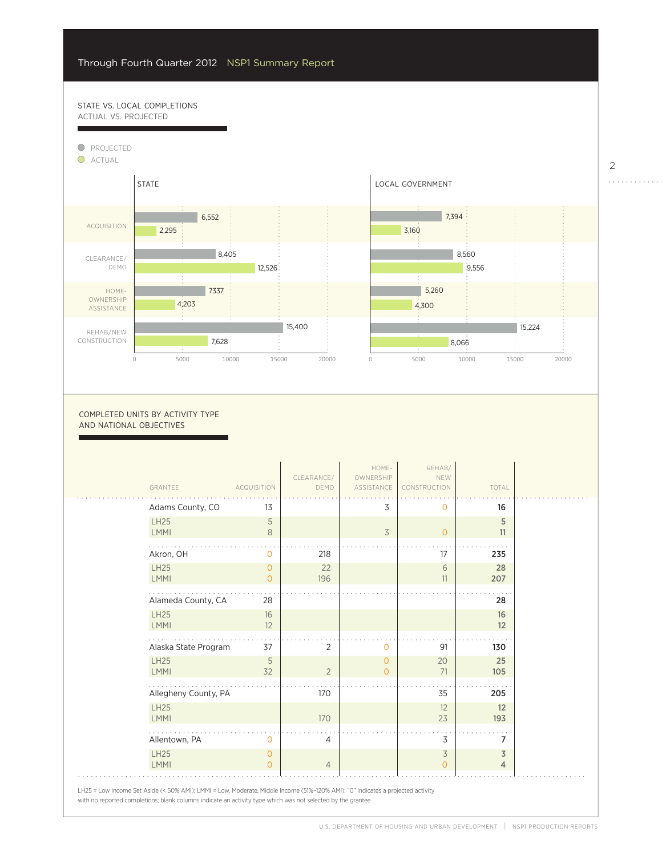57%

## STATE VS. LOCAL COMPLETIONS ACTUAL VS. PROJECTED



0

COMPLETED UNITS BY ACTIVITY TYPE AND NATIONAL OBJECTIVES

| GRANTEE                    | <b>ACQUISITION</b> | CLEARANCE/<br>DEMO | HOME-<br>OWNERSHIP<br>ASSISTANCE | REHAB/<br>NEW<br>CONSTRUCTION | TOTAL          |
|----------------------------|--------------------|--------------------|----------------------------------|-------------------------------|----------------|
| Adams County, CO           | 13                 |                    | 3                                | $\Omega$                      | 16             |
| <b>LH25</b><br><b>LMMI</b> | 5                  |                    |                                  |                               | 5              |
|                            | 8                  |                    | $\overline{3}$                   | $\circ$                       | 11             |
| Akron, OH                  | $\Omega$           | 218                |                                  | 17                            | 235            |
| <b>LH25</b>                | $\Omega$           | 22                 |                                  | 6                             | 28             |
| <b>LMMI</b>                | $\Omega$           | 196                |                                  | 11                            | 207            |
| Alameda County, CA         | 28                 |                    |                                  |                               | 28             |
| <b>LH25</b>                | 16                 |                    |                                  |                               | 16             |
| <b>LMMI</b>                | 12                 |                    |                                  |                               | 12             |
| Alaska State Program       | 37                 | 2                  | $\mathbf 0$                      | 91                            | 130            |
| <b>LH25</b>                | 5                  |                    | $\overline{0}$                   | 20                            | 25             |
| <b>LMMI</b>                | 32                 | $\overline{2}$     | $\overline{0}$                   | 71                            | 105            |
| Allegheny County, PA       |                    | 170                |                                  | 35                            | 205            |
| <b>LH25</b>                |                    |                    |                                  | 12                            | 12             |
| <b>LMMI</b>                |                    | 170                |                                  | 23                            | 193            |
| Allentown, PA              | 0                  | 4                  |                                  | 3                             | 7              |
| <b>LH25</b>                | $\circ$            |                    |                                  | $\overline{3}$                | 3              |
| <b>LMMI</b>                | $\Omega$           | $\overline{4}$     |                                  | $\Omega$                      | $\overline{4}$ |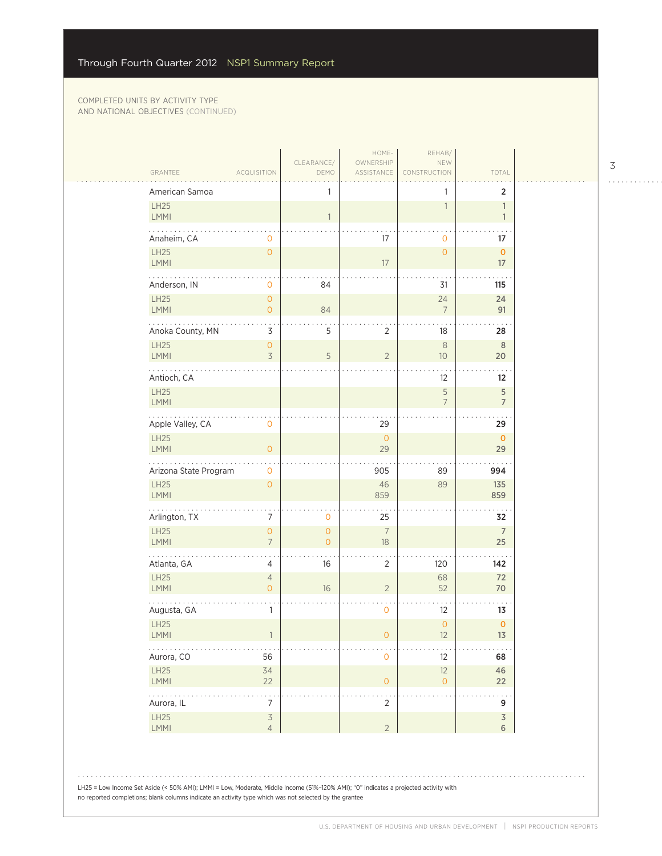$\sim$  .

| American Samoa                                                 |                                       | 1                                |                           |                           | $\overline{2}$                         |
|----------------------------------------------------------------|---------------------------------------|----------------------------------|---------------------------|---------------------------|----------------------------------------|
| LH25<br>LMMI                                                   |                                       | $\mathbf{1}$                     |                           | $\mathbf{1}$              | $\mathbf{1}$<br>$\mathbf{1}$           |
| Anaheim, CA                                                    | 0                                     |                                  | 17                        | 0                         | 17                                     |
| LH25<br>LMMI                                                   | $\mathsf{O}\xspace$                   |                                  | 17                        | $\mathsf{O}\xspace$       | $\pmb{\mathsf{O}}$<br>17               |
| Anderson, IN                                                   | $\mathbf 0$                           | 84                               |                           | 31                        | 115                                    |
| LH25<br><b>LMMI</b>                                            | $\overline{0}$<br>$\mathsf{O}\xspace$ | 84                               |                           | 24<br>7                   | 24<br>91                               |
| Anoka County, MN                                               | 3                                     | 5                                | $\overline{2}$            | 18                        | 28                                     |
| LH25<br><b>LMMI</b>                                            | $\mathsf{O}\xspace$<br>$\overline{3}$ | 5                                | $\overline{2}$            | $\,8\,$<br>10             | $\, 8$<br>20                           |
| Antioch, CA                                                    |                                       |                                  |                           | 12                        | 12                                     |
| LH25<br><b>LMMI</b>                                            |                                       |                                  |                           | 5<br>$\overline{7}$       | $\mathsf S$<br>$\overline{7}$          |
| Apple Valley, CA                                               | $\mathsf{O}\xspace$                   |                                  | 29                        |                           | . .<br>29                              |
| LH25<br>LMMI                                                   | $\overline{0}$                        |                                  | $\mathsf{O}\xspace$<br>29 |                           | $\mathbf 0$<br>29                      |
| Arizona State Program                                          | 0                                     |                                  | 905                       | 89                        | 994                                    |
| LH25<br><b>LMMI</b>                                            | $\mathbf{O}$                          |                                  | 46<br>859                 | 89                        | 135<br>859                             |
| Arlington, TX                                                  | 7                                     | 0                                | 25                        |                           | 32                                     |
| LH25<br><b>LMMI</b>                                            | $\mathsf{O}\xspace$<br>$\overline{7}$ | $\overline{O}$<br>$\overline{O}$ | $\overline{7}$<br>18      |                           | $\boldsymbol{7}$<br>25                 |
| Atlanta, GA                                                    | 4                                     | 16                               | 2                         | 120                       | 142                                    |
| <b>LH25</b><br><b>LMMI</b>                                     | $\sqrt{4}$<br>$\mathbf{O}$            | 16                               | $\sqrt{2}$                | 68<br>52                  | 72<br>70                               |
| Augusta, GA                                                    | 1                                     |                                  | 0                         | 12                        | 13                                     |
| LH25<br>$\mathsf{LMMI}$                                        |                                       |                                  | $\mathsf{O}\xspace$       | $\mathsf{O}\xspace$<br>12 | $\pmb{\mathsf{O}}$<br>13               |
| Aurora, CO                                                     | 56                                    |                                  | $\mathsf O$               | 12                        | 68                                     |
| <b>LH25</b><br><b>LMMI</b>                                     | 34<br>22                              |                                  | $\overline{0}$            | 12<br>$\mathsf{O}\xspace$ | 46<br>22                               |
| $\mathbb{R}^2$ , $\mathbb{R}^2$ , $\mathbb{R}^2$<br>Aurora, IL | $\frac{1}{7}$                         |                                  | . .<br>$\overline{2}$     |                           | $\ddot{\phantom{1}}$ .<br>9            |
| LH25<br><b>LMMI</b>                                            | $\overline{3}$<br>$\overline{4}$      |                                  | $\overline{2}$            |                           | $\overline{\mathsf{3}}$<br>$\,$ 6 $\,$ |

LH25 = Low Income Set Aside (< 50% AMI); LMMI = Low, Moderate, Middle Income (51%–120% AMI); "0" indicates a projected activity with no reported completions; blank columns indicate an activity type which was not selected by the grantee

3

. . . . . . . . . . . .

 $1.1.1.1.1.1.1.1$ 

 $\alpha$  ,  $\beta$  ,  $\beta$  ,  $\beta$  ,  $\beta$  ,  $\beta$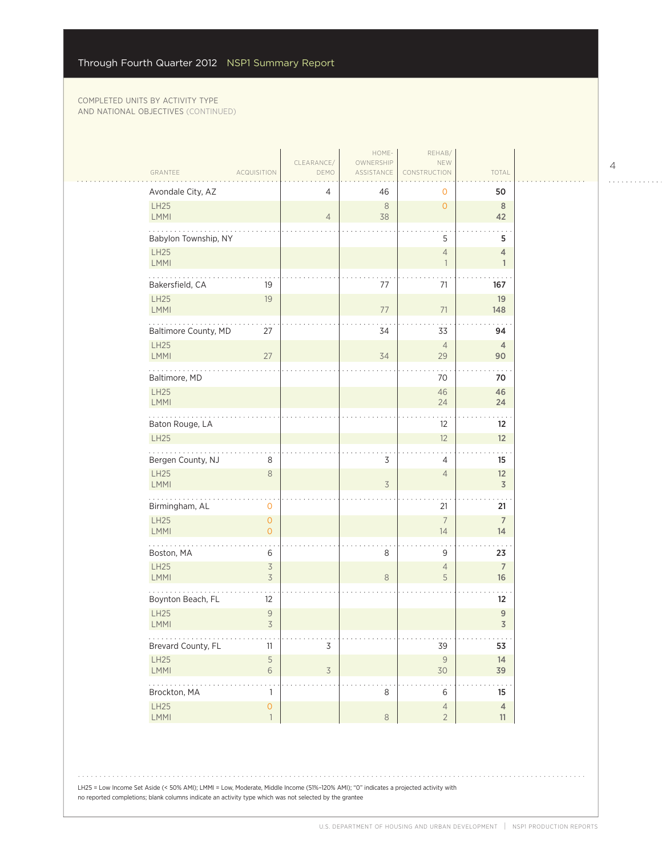| GRANTEE                    | <b>ACQUISITION</b>               | CLEARANCE/<br>DEMO | HOME-<br>OWNERSHIP<br>ASSISTANCE | REHAB/<br>NEW<br>CONSTRUCTION              | TOTAL                              |
|----------------------------|----------------------------------|--------------------|----------------------------------|--------------------------------------------|------------------------------------|
| Avondale City, AZ          |                                  | 4                  | 46                               | 0                                          | 50                                 |
| LH25<br>LMMI               |                                  | $\overline{4}$     | $\,8\,$<br>38                    | $\circ$                                    | $8\phantom{1}$<br>42               |
| Babylon Township, NY       |                                  |                    |                                  | 5                                          | 5                                  |
| LH25<br>LMMI               |                                  |                    |                                  | $\overline{4}$<br>$\overline{\phantom{a}}$ | 4<br>$\mathbf{1}$                  |
| .<br>Bakersfield, CA       | 19                               |                    | 77                               | 71                                         | 167                                |
| LH25<br><b>LMMI</b>        | 19                               |                    | $77$                             | 71                                         | 19<br>148                          |
| Baltimore County, MD       | 27                               |                    | 34                               | 33                                         | 94                                 |
| <b>LH25</b><br><b>LMMI</b> | 27                               |                    | 34                               | $\overline{4}$<br>29                       | $\overline{4}$<br>90               |
| Baltimore, MD              |                                  |                    |                                  | 70                                         | 70                                 |
| LH25<br>LMMI               |                                  |                    |                                  | 46<br>24                                   | 46<br>24                           |
| Baton Rouge, LA            |                                  |                    |                                  | 12                                         | 12                                 |
| <b>LH25</b>                |                                  |                    |                                  | 12                                         | 12                                 |
| Bergen County, NJ          | 8                                |                    | 3                                | 4                                          | 15                                 |
| LH25<br><b>LMMI</b>        | $\,8\,$                          |                    | 3                                | $\overline{4}$                             | 12<br>$\overline{\mathsf{3}}$      |
| Birmingham, AL             | $\mathbf 0$                      |                    |                                  | 21                                         | 21                                 |
| LH25<br><b>LMMI</b>        | $\overline{O}$<br>$\overline{O}$ |                    |                                  | $\overline{7}$<br>14                       | $\overline{7}$<br>14               |
| Boston, MA                 | 6                                |                    | 8                                | 9                                          | 23                                 |
| LH25<br>LMMI               | $\mathfrak{Z}$<br>3              |                    | $\,8\,$                          | $\overline{4}$<br>5                        | $\overline{7}$<br>16               |
| Boynton Beach, FL          | 12                               |                    |                                  |                                            | $12 \overline{ }$                  |
| LH25<br><b>LMMI</b>        | $\mathsf 9$<br>3                 |                    |                                  |                                            | $\boldsymbol{9}$<br>$\overline{3}$ |
| .<br>Brevard County, FL    | 11                               | $\mathsf 3$        |                                  | .<br>39                                    | $\sim$ $\sim$ $\sim$<br>53         |
| LH25<br>LMMI               | $\mathsf S$<br>$\sqrt{6}$        | $\overline{3}$     |                                  | $\mathsf{9}$<br>30                         | 14<br>39                           |
| .<br>Brockton, MA          | 1                                |                    | 8                                | 6                                          | 15                                 |
| LH25<br>LMMI               | $\overline{O}$<br>$\mathbf{1}$   |                    | $\,8\,$                          | $\overline{4}$<br>$\overline{2}$           | $\overline{4}$<br>11               |

LH25 = Low Income Set Aside (< 50% AMI); LMMI = Low, Moderate, Middle Income (51%–120% AMI); "0" indicates a projected activity with no reported completions; blank columns indicate an activity type which was not selected by the grantee

4

 $\begin{array}{cccccccccccccc} . & . & . & . & . & . & . & . & . & . & . & . & . \end{array}$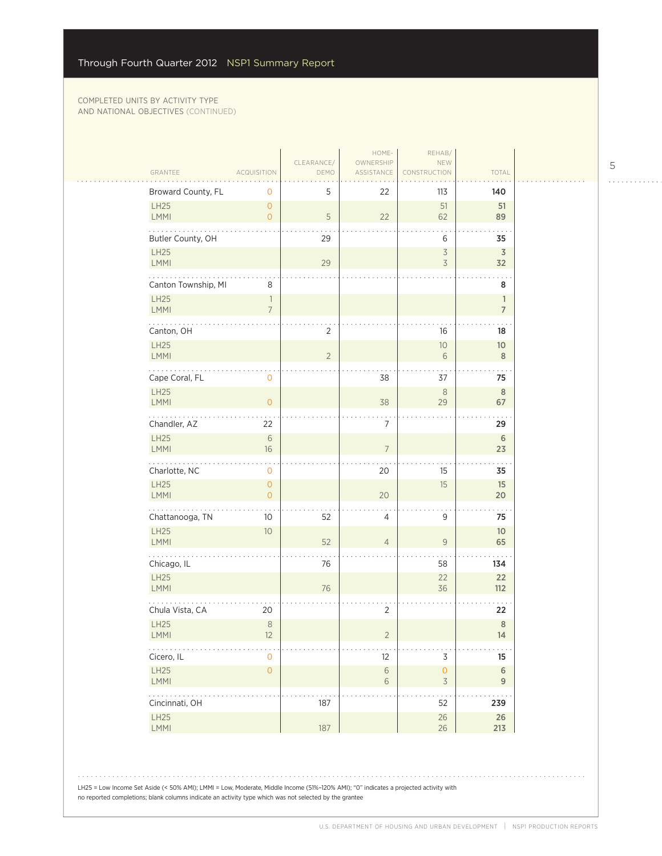|                         |                                            |                    | HOME-                   | REHAB/                                     |                               |
|-------------------------|--------------------------------------------|--------------------|-------------------------|--------------------------------------------|-------------------------------|
| GRANTEE                 | <b>ACQUISITION</b>                         | CLEARANCE/<br>DEMO | OWNERSHIP<br>ASSISTANCE | NEW<br><b>NSTRUCTION</b>                   | TOTAL                         |
| Broward County, FL      | 0                                          | 5                  | 22                      | 113                                        | 140                           |
| LH25                    | $\overline{0}$                             |                    |                         | 51                                         | 51                            |
| LMMI                    | $\overline{0}$                             | 5                  | 22                      | 62                                         | 89                            |
| Butler County, OH       |                                            | 29                 |                         | 6                                          | 35                            |
| LH25<br>LMMI            |                                            | 29                 |                         | $\overline{\mathcal{S}}$<br>$\overline{3}$ | $\overline{\mathsf{3}}$<br>32 |
| Canton Township, MI     | 8                                          |                    |                         |                                            | 8                             |
| LH25                    | $\overline{\phantom{a}}$                   |                    |                         |                                            | $\mathbf{1}$                  |
| LMMI                    | $\overline{7}$                             |                    |                         |                                            | $\overline{7}$                |
| Canton, OH              |                                            | $\overline{2}$     |                         | 16                                         | 18                            |
| LH25<br>LMMI            |                                            | $\overline{2}$     |                         | 10<br>6                                    | 10 <sup>°</sup><br>$\,8\,$    |
|                         |                                            |                    |                         |                                            |                               |
| Cape Coral, FL<br>LH25  | 0                                          |                    | 38                      | 37<br>$\,8\,$                              | 75<br>$\,$ 8 $\,$             |
| <b>LMMI</b>             | $\overline{0}$                             |                    | 38                      | 29                                         | 67                            |
| .<br>Chandler, AZ       | 22                                         |                    | $\overline{7}$          |                                            | 29                            |
| LH25                    | $\sqrt{6}$                                 |                    |                         |                                            | 6                             |
| LMMI                    | 16                                         |                    | $\overline{7}$          |                                            | 23                            |
| Charlotte, NC           | 0                                          |                    | 20                      | 15                                         | 35                            |
| LH25<br><b>LMMI</b>     | $\mathsf{O}\xspace$<br>$\mathsf{O}\xspace$ |                    | 20                      | 15                                         | 15<br>20                      |
| .<br>Chattanooga, TN    | 10                                         | 52                 | 4                       | 9                                          | 75                            |
| LH25                    | $10$                                       |                    |                         |                                            | 10 <sup>°</sup>               |
| <b>LMMI</b>             |                                            | 52                 | $\overline{4}$          | 9                                          | 65                            |
| Chicago, IL             |                                            | 76                 |                         | 58                                         | 134                           |
| LH25<br>LMMI            |                                            | 76                 |                         | 22<br>36                                   | 22<br>$112$                   |
|                         |                                            |                    |                         |                                            |                               |
| Chula Vista, CA<br>LH25 | 20<br>$\,8\,$                              |                    | $\overline{2}$          |                                            | 22<br>$\,8\,$                 |
| LMMI                    | 12                                         |                    | $\overline{2}$          |                                            | 14                            |
| .<br>Cicero, IL         | $\mathbf 0$                                |                    | 12                      | $\mathsf 3$                                | 15                            |
| LH25                    | $\mathsf{O}\xspace$                        |                    | $\,$ $\,$ $\,$          | $\mathsf{O}\xspace$                        | $\,$ 6 $\,$                   |
| LMMI<br>.               |                                            |                    | $\sqrt{6}$              | $\mathfrak Z$                              | 9                             |
| Cincinnati, OH          |                                            | 187                |                         | 52                                         | 239                           |
| LH25<br>LMMI            |                                            | 187                |                         | $26\,$<br>26                               | $26\,$<br>213                 |
|                         |                                            |                    |                         |                                            |                               |

LH25 = Low Income Set Aside (< 50% AMI); LMMI = Low, Moderate, Middle Income (51%–120% AMI); "0" indicates a projected activity with no reported completions; blank columns indicate an activity type which was not selected by the grantee

 $\begin{array}{cccccccccccccc} . & . & . & . & . & . & . & . & . & . & . & . & . \end{array}$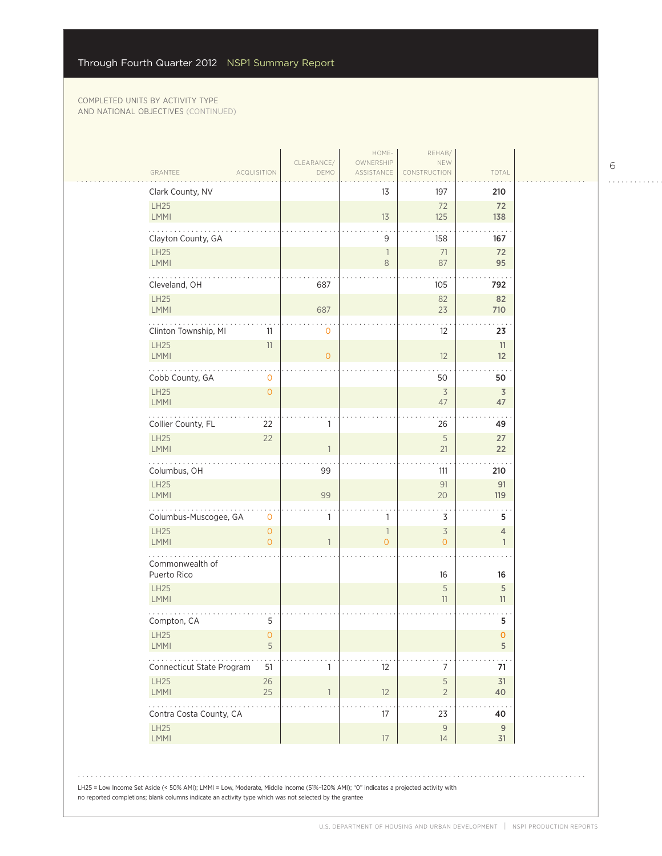| GRANTEE                        | <b>ACQUISITION</b>  | DEMO           | ASSISTANCE                     | CONSTRUCTION                               | TOTAL                          |
|--------------------------------|---------------------|----------------|--------------------------------|--------------------------------------------|--------------------------------|
| Clark County, NV               |                     |                | 13                             | 197                                        | 210                            |
| <b>LH25</b><br>LMMI            |                     |                | 13                             | 72<br>125                                  | 72<br>138                      |
| Clayton County, GA             |                     |                | 9                              | 158                                        | 167                            |
| <b>LH25</b>                    |                     |                | 1                              | 71                                         | 72                             |
| LMMI<br>للمتحدث                |                     |                | 8                              | 87                                         | 95                             |
| Cleveland, OH                  |                     | 687            |                                | 105                                        | 792                            |
| LH25<br>LMMI                   |                     | 687            |                                | 82<br>23                                   | 82<br>710                      |
| Clinton Township, MI           | 11                  | $\mathbf 0$    |                                | 12                                         | 23                             |
| <b>LH25</b><br>LMMI            | 11                  | $\overline{O}$ |                                | 12                                         | 11<br>12                       |
| Cobb County, GA                | $\mathbf 0$         |                |                                | 50                                         | 50                             |
| <b>LH25</b><br>LMMI            | $\mathbf{O}$        |                |                                | $\overline{3}$<br>47                       | $\overline{\mathsf{3}}$<br>47  |
| Collier County, FL             | 22                  | 1              |                                | 26                                         | 49                             |
| <b>LH25</b><br>LMMI            | 22                  |                |                                | 5<br>21                                    | 27<br>22                       |
| Columbus, OH                   |                     | 99             |                                | 111                                        | 210                            |
| <b>LH25</b><br>LMMI            |                     | 99             |                                | 91<br>20                                   | 91<br>119                      |
| .<br>Columbus-Muscogee, GA     | 0                   | 1              | 1                              | 3                                          | 5                              |
| <b>LH25</b><br><b>LMMI</b>     | $\circ$<br>$\Omega$ |                | $\mathbf{1}$<br>$\overline{O}$ | $\overline{\mathcal{S}}$<br>$\overline{O}$ | $\overline{4}$<br>$\mathbf{1}$ |
| Commonwealth of<br>Puerto Rico |                     |                |                                | 16                                         | 16                             |
| <b>LH25</b><br>LMMI            |                     |                |                                | 5<br>11                                    | 5<br>11                        |
| Compton, CA                    | 5                   |                |                                |                                            | 5                              |
| LH25<br>LMMI                   | $\sigma$<br>5       |                |                                |                                            | o<br>5                         |
| .<br>Connecticut State Program | 51                  | 1              | 12                             | 7                                          | 71                             |
| LH25<br>LMMI                   | 26<br>25            | $\mathbf{1}$   | 12                             | 5<br>$\overline{2}$                        | 31<br>40                       |
| Contra Costa County, CA        |                     |                | 17                             | 23                                         | 40                             |
| <b>LH25</b><br>LMMI            |                     |                | 17                             | $\mathsf{9}$<br>14                         | $\overline{9}$<br>31           |

6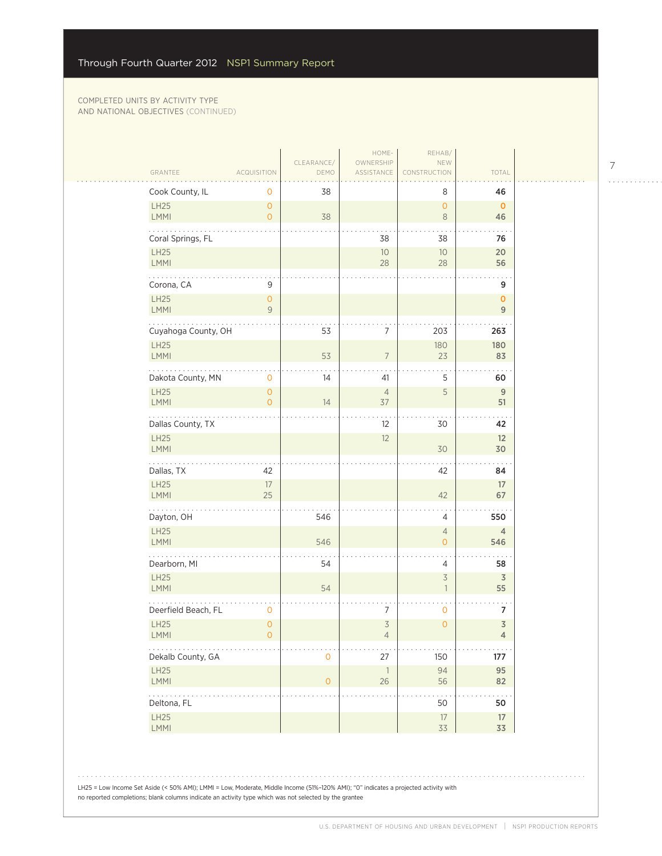|                            |                                       |                     | HOME-                            | REHAB/                                     |                                           |
|----------------------------|---------------------------------------|---------------------|----------------------------------|--------------------------------------------|-------------------------------------------|
| GRANTEE                    | <b>ACQUISITION</b>                    | CLEARANCE/<br>DEMO  | OWNERSHIP<br>ASSISTANCE          | NEW<br>CONSTRUCTION                        | TOTAL                                     |
| Cook County, IL            | 0                                     | 38                  |                                  | 8                                          | 46                                        |
| LH25<br><b>LMMI</b>        | $\mathsf{O}\xspace$<br>$\circ$        | 38                  |                                  | $\circ$<br>$\,8\,$                         | $\mathbf 0$<br>46                         |
| Coral Springs, FL          |                                       |                     | 38                               | 38                                         | 76                                        |
| <b>LH25</b><br><b>LMMI</b> |                                       |                     | $10$<br>28                       | 10 <sup>°</sup><br>28                      | 20<br>56                                  |
| Corona, CA                 | 9                                     |                     |                                  |                                            | 9                                         |
| LH25<br><b>LMMI</b>        | $\overline{O}$<br>9                   |                     |                                  |                                            | $\mathbf{o}$<br>$\overline{9}$            |
| Cuyahoga County, OH        |                                       | 53                  | 7                                | 203                                        | 263                                       |
| LH25<br><b>LMMI</b>        |                                       | 53                  | $\overline{7}$                   | 180<br>23                                  | 180<br>83                                 |
| Dakota County, MN          | $\mathbf 0$                           | 14                  | 41                               | 5                                          | 60                                        |
| <b>LH25</b><br>LMMI        | $\mathsf{O}\xspace$<br>$\overline{O}$ | 14                  | $\overline{4}$<br>37             | 5                                          | $\overline{9}$<br>51                      |
| .<br>Dallas County, TX     |                                       |                     | 12                               | 30                                         | 42                                        |
| LH25<br>LMMI               |                                       |                     | 12                               | 30                                         | 12<br>30                                  |
| Dallas, TX                 | 42                                    |                     |                                  | 42                                         | 84                                        |
| LH25<br>LMMI               | $17\,$<br>25                          |                     |                                  | 42                                         | 17<br>67                                  |
| Dayton, OH                 |                                       | 546                 |                                  | 4                                          | 550                                       |
| LH25<br><b>LMMI</b>        |                                       | 546                 |                                  | $\overline{4}$<br>$\overline{O}$           | $\overline{4}$<br>546                     |
| Dearborn, MI               |                                       | 54                  |                                  | $\overline{4}$                             | 58                                        |
| LH25<br><b>LMMI</b>        |                                       | 54                  |                                  | $\overline{3}$<br>$\overline{\phantom{a}}$ | $\overline{3}$<br>55                      |
| Deerfield Beach, FL        | 0                                     |                     | 7                                | $\mathbf 0$                                | 7                                         |
| LH25<br>LMMI               | $\mathsf{O}$<br>$\circ$               |                     | $\overline{3}$<br>$\overline{4}$ | $\mathsf{O}\xspace$                        | $\overline{\mathsf{3}}$<br>$\overline{4}$ |
| .<br>Dekalb County, GA     |                                       | $\mathbf 0$         | $27\,$                           | 150                                        | 177                                       |
| LH25<br>LMMI               |                                       | $\mathsf{O}\xspace$ | $\overline{\phantom{a}}$<br>26   | 94<br>56                                   | 95<br>82                                  |
| .<br>Deltona, FL           |                                       |                     |                                  | 50                                         | 50                                        |
| LH25<br>LMMI               |                                       |                     |                                  | $17\,$<br>33                               | 17<br>33                                  |

LH25 = Low Income Set Aside (< 50% AMI); LMMI = Low, Moderate, Middle Income (51%–120% AMI); "0" indicates a projected activity with no reported completions; blank columns indicate an activity type which was not selected by the grantee

7

 $\begin{array}{cccccccccccccc} . & . & . & . & . & . & . & . & . & . & . & . & . \end{array}$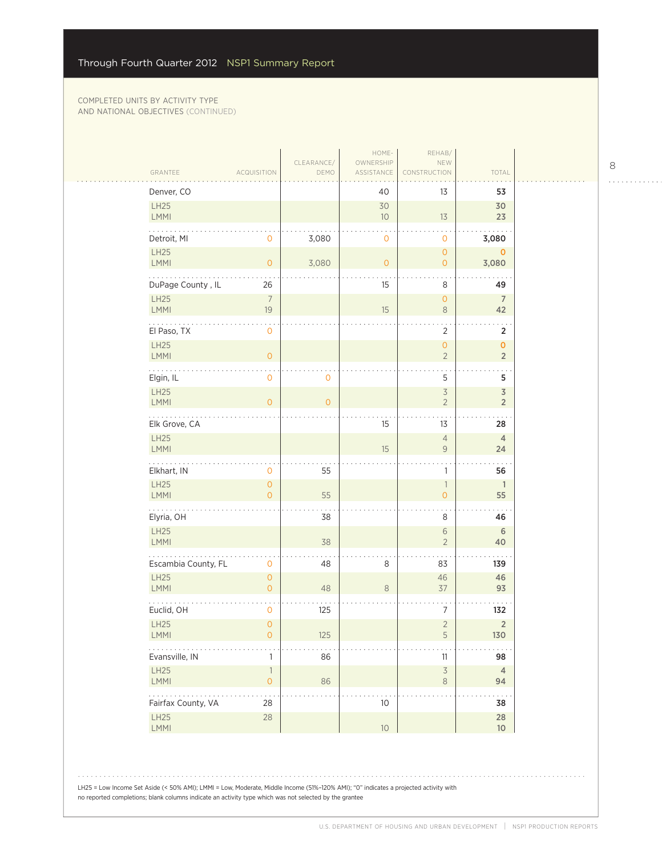| GRANTEE                 | ACQUISITION                                      | CLEARANCE/<br>DEMO | HOME-<br>OWNERSHIP<br>ASSISTANCE | REHAB/<br>NEW<br><b>RUCTION</b>            | TOTAL                           |
|-------------------------|--------------------------------------------------|--------------------|----------------------------------|--------------------------------------------|---------------------------------|
| Denver, CO              |                                                  |                    | 40                               | 13                                         | 53                              |
| LH25<br>LMMI            |                                                  |                    | 30<br>10                         | 13                                         | 30<br>23                        |
| Detroit, MI             | $\mathbf{O}$                                     | 3,080              | $\mathbf 0$                      | $\mathbf 0$                                | 3,080                           |
| LH25<br>LMMI            | $\mathsf{O}\xspace$                              | 3,080              | $\overline{0}$                   | $\circ$<br>$\overline{O}$                  | $\mathbf{O}$<br>3,080           |
| DuPage County, IL       | 26                                               |                    | 15                               | 8                                          | 49                              |
| LH25<br><b>LMMI</b>     | $\overline{7}$<br>19                             |                    | 15                               | $\circ$<br>$\,8\,$                         | $\overline{7}$<br>42            |
| El Paso, TX             | $\mathbf 0$                                      |                    |                                  | $\overline{2}$                             | $\overline{2}$                  |
| LH25<br>LMMI            | $\mathsf O$                                      |                    |                                  | $\mathsf{O}\xspace$<br>$\overline{2}$      | $\mathbf 0$<br>$\overline{2}$   |
| Elgin, IL               | $\mathsf{O}\xspace$                              | 0                  |                                  | 5                                          | 5                               |
| <b>LH25</b><br>LMMI     | $\overline{O}$                                   | $\overline{0}$     |                                  | $\overline{\mathcal{S}}$<br>$\overline{2}$ | $\mathfrak Z$<br>$\overline{2}$ |
| .<br>Elk Grove, CA      |                                                  |                    | 15                               | 13                                         | 28                              |
| LH25<br>LMMI            |                                                  |                    | 15                               | $\overline{4}$<br>$\overline{9}$           | $\overline{4}$<br>24            |
| Elkhart, IN             | $\mathbf{O}$                                     | 55                 |                                  | $\mathbf{1}$                               | 56                              |
| LH25<br><b>LMMI</b>     | $\mathsf{O}\xspace$<br>$\overline{O}$            | 55                 |                                  | $\overline{1}$<br>$\overline{O}$           | $\mathbf{1}$<br>55              |
| .<br>Elyria, OH         |                                                  | 38                 |                                  | 8                                          | 46                              |
| LH25<br><b>LMMI</b>     |                                                  | 38                 |                                  | $\sqrt{6}$<br>$\overline{2}$               | $\sqrt{6}$<br>40                |
| Escambia County, FL     | $\mathbf 0$                                      | 48                 | 8                                | 83                                         | 139                             |
| LH25<br>LMMI            | $\circ$<br>$\circ$                               | 48                 | $\,8\,$                          | 46<br>$37\,$                               | 46<br>93                        |
| Euclid, OH              | $\mathbf 0$                                      | 125                |                                  | 7                                          | 132                             |
| LH25<br>LMMI            | $\mathsf{O}\xspace$<br>$\mathsf{O}\xspace$       | 125                |                                  | $\overline{2}$<br>$\mathsf S$              | $\overline{2}$<br>130           |
| .<br>Evansville, IN     | $\mathbf{1}$                                     | 86                 |                                  | 11                                         | 98                              |
| LH25<br>LMMI            | $\ensuremath{\mathsf{1}}$<br>$\mathsf{O}\xspace$ | 86                 |                                  | $\overline{\mathcal{S}}$<br>$\,8\,$        | $\overline{4}$<br>94            |
| .<br>Fairfax County, VA | $\sim$ $\sim$<br>28                              |                    | $10$                             |                                            | $\sim$<br>38                    |
| LH25                    | 28                                               |                    | 10 <sup>°</sup>                  |                                            | $28\,$<br>$10$                  |

8

 $\begin{array}{cccccccccccccc} . & . & . & . & . & . & . & . & . & . & . & . & . \end{array}$ 

LH25 = Low Income Set Aside (< 50% AMI); LMMI = Low, Moderate, Middle Income (51%–120% AMI); "0" indicates a projected activity with no reported completions; blank columns indicate an activity type which was not selected by the grantee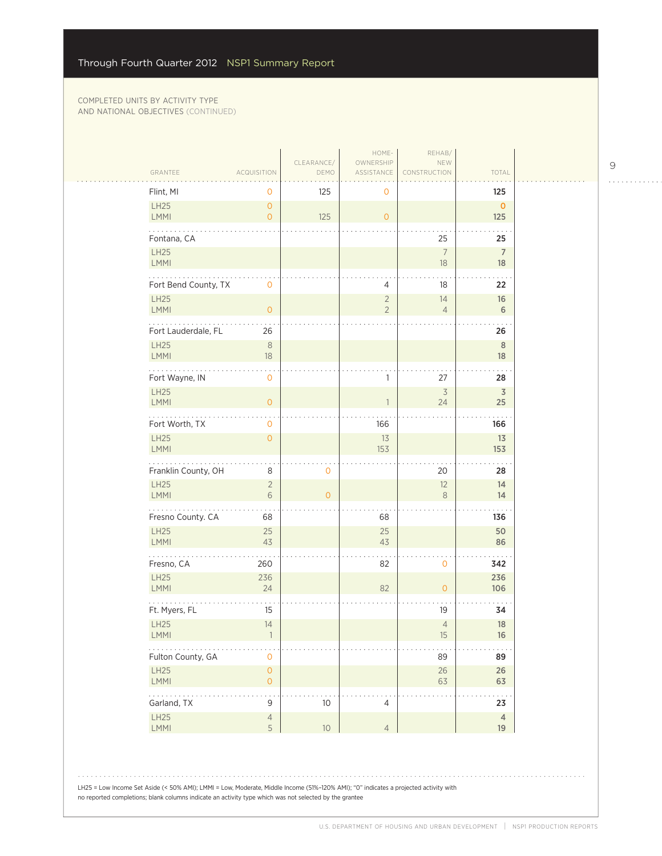$\mathcal{L}_{\mathcal{A}}$ 

| GRANTEE                    | <b>ACQUISITION</b>                    | CLEARANCE/<br>DEMO  | HOME-<br>OWNERSHIP<br>ASSISTANCE | REHAB/<br>NEW<br>CONSTRUCTION  | TOTAL                |
|----------------------------|---------------------------------------|---------------------|----------------------------------|--------------------------------|----------------------|
| Flint, MI                  | 0                                     | 125                 | 0                                |                                | 125                  |
| LH25<br>LMMI               | $\overline{O}$<br>$\overline{O}$      | 125                 | $\overline{O}$                   |                                | $\mathbf{O}$<br>125  |
| Fontana, CA                |                                       |                     |                                  | 25                             | 25                   |
| LH25<br>LMMI               |                                       |                     |                                  | $\overline{7}$<br>18           | $\overline{7}$<br>18 |
| Fort Bend County, TX       | 0                                     |                     | 4                                | 18                             | 22                   |
| LH25<br><b>LMMI</b>        | $\mathbf{0}$                          |                     | $\overline{2}$<br>$\overline{2}$ | 14<br>$\overline{4}$           | 16<br>6              |
| Fort Lauderdale, FL        | 26                                    |                     |                                  |                                | 26                   |
| <b>LH25</b><br>LMMI        | $\,8\,$<br>$18\,$                     |                     |                                  |                                | $\,$ 8 $\,$<br>18    |
| Fort Wayne, IN             | 0                                     |                     | 1                                | 27                             | 28                   |
| LH25<br>LMMI               | $\overline{O}$                        |                     | 1                                | $\overline{\mathcal{S}}$<br>24 | $\overline{3}$<br>25 |
| .<br>Fort Worth, TX        | 0                                     |                     | 166                              |                                | 166                  |
| <b>LH25</b><br><b>LMMI</b> | $\overline{O}$                        |                     | 13<br>153                        |                                | 13<br>153            |
| Franklin County, OH        | 8                                     | $\mathbf 0$         |                                  | 20                             | 28                   |
| <b>LH25</b><br>LMMI        | $\overline{2}$<br>6                   | $\mathsf{O}\xspace$ |                                  | 12<br>8                        | 14<br>14             |
| .<br>Fresno County. CA     | 68                                    |                     | 68                               |                                | 136                  |
| <b>LH25</b><br><b>LMMI</b> | 25<br>43                              |                     | 25<br>43                         |                                | 50<br>86             |
| Fresno, CA                 | 260                                   |                     | 82                               | $\mathbf 0$                    | 342                  |
| LH25<br>LMMI               | 236<br>24                             |                     | 82                               | $\overline{0}$                 | 236<br>106           |
| Ft. Myers, FL              | 15                                    |                     |                                  | 19                             | 34                   |
| LH25<br>LMMI               | 14                                    |                     |                                  | $\overline{4}$<br>$15\,$       | 18<br>$16\,$         |
| .<br>Fulton County, GA     | 0                                     |                     |                                  | 89                             | 89                   |
| LH25<br>LMMI               | $\mathsf{O}\xspace$<br>$\overline{O}$ |                     |                                  | $26\,$<br>63                   | 26<br>63             |
| .<br>Garland, TX           | $\mathsf 9$                           | 10                  | $\overline{4}$                   |                                | $\cdots$<br>23       |
| LH25<br>LMMI               | $\overline{4}$<br>5                   | $10$                | $\overline{4}$                   |                                | $\sqrt{4}$<br>19     |

9

 $\begin{array}{cccccccccccccc} . & . & . & . & . & . & . & . & . & . & . & . & . \end{array}$ 

LH25 = Low Income Set Aside (< 50% AMI); LMMI = Low, Moderate, Middle Income (51%–120% AMI); "0" indicates a projected activity with no reported completions; blank columns indicate an activity type which was not selected by the grantee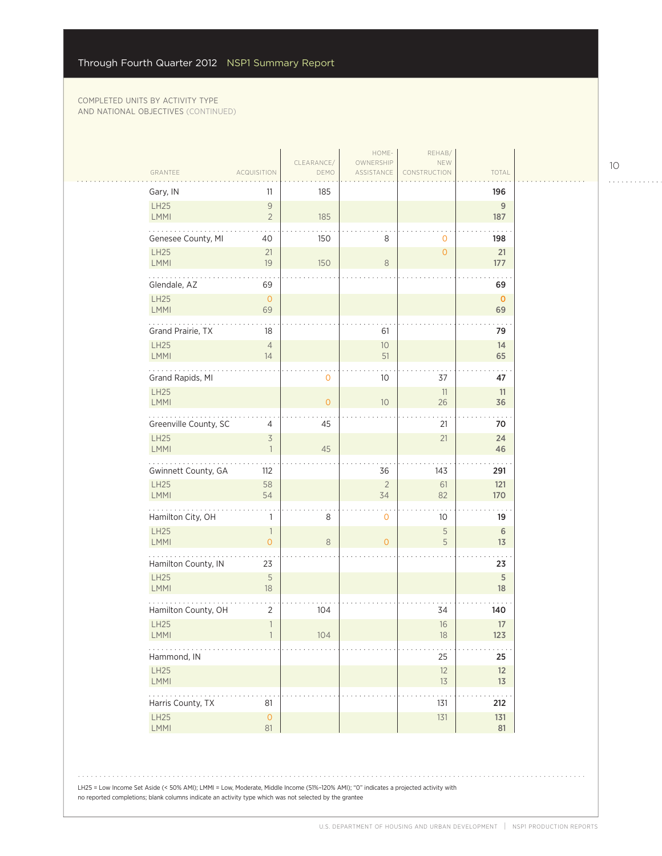| Gary, IN<br>LH25               | 11<br>$\mathsf{9}$                        | 185            |                      |                | 196<br>9           |
|--------------------------------|-------------------------------------------|----------------|----------------------|----------------|--------------------|
| <b>LMMI</b>                    | $\overline{2}$                            | 185            |                      |                | 187                |
| Genesee County, MI             | 40                                        | 150            | 8                    | $\mathbf 0$    | 198                |
| <b>LH25</b><br><b>LMMI</b>     | 21<br>19                                  | 150            | 8                    | $\overline{0}$ | 21<br>177          |
| .                              |                                           |                |                      |                |                    |
| Glendale, AZ<br><b>LH25</b>    | 69<br>$\mathsf O$                         |                |                      |                | 69<br>$\mathbf{0}$ |
| <b>LMMI</b>                    | 69                                        |                |                      |                | 69                 |
| Grand Prairie, TX              | 18                                        |                | 61                   |                | 79                 |
| <b>LH25</b><br><b>LMMI</b>     | $\overline{4}$<br>14                      |                | $10$<br>51           |                | 14<br>65           |
| Grand Rapids, MI               |                                           | $\mathbf 0$    | 10                   | 37             | 47                 |
| LH25<br><b>LMMI</b>            |                                           | $\overline{O}$ | $10$                 | 11<br>26       | 11<br>36           |
| Greenville County, SC          | 4                                         | 45             |                      | 21             | 70                 |
| <b>LH25</b><br>LMMI            | $\overline{\mathcal{S}}$<br>$\mathbf{1}$  | 45             |                      | 21             | 24<br>46           |
| Gwinnett County, GA            | 112                                       |                | 36                   | 143            | 291                |
| <b>LH25</b><br><b>LMMI</b>     | 58<br>54                                  |                | $\overline{2}$<br>34 | 61<br>82       | 121<br>170         |
| Hamilton City, OH              | $\mathbf{1}$                              | 8              | $\mathbf 0$          | 10             | 19                 |
| <b>LH25</b>                    | $\overline{\phantom{a}}$                  |                |                      | 5              | $\sqrt{6}$         |
| <b>LMMI</b>                    | $\mathsf{O}\xspace$                       | 8              | $\overline{0}$       | 5              | 13                 |
| Hamilton County, IN            | 23                                        |                |                      |                | 23                 |
| <b>LH25</b><br><b>LMMI</b>     | 5<br>18                                   |                |                      |                | 5<br>18            |
| Hamilton County, OH            | $\overline{2}$                            | 104            |                      | 34             | 140                |
| <b>LH25</b><br>$\mathsf{LMMI}$ | $\ensuremath{\mathbb{I}}$<br>$\mathbf{I}$ | 104            |                      | 16<br>18       | $17\,$<br>123      |
| Hammond, IN                    |                                           |                |                      | 25             | 25                 |
| <b>LH25</b><br>LMMI            |                                           |                |                      | 12<br>$13$     | 12<br>13           |
| Harris County, TX              | 81                                        |                |                      | 131            | 212                |
| <b>LH25</b><br><b>LMMI</b>     | $\mathsf{O}\xspace$<br>81                 |                |                      | 131            | 131<br>81          |
|                                |                                           |                |                      |                |                    |

LH25 = Low Income Set Aside (< 50% AMI); LMMI = Low, Moderate, Middle Income (51%–120% AMI); "0" indicates a projected activity with no reported completions; blank columns indicate an activity type which was not selected by the grantee

10

. . . . . . . . . . . .

 $\sim 100$ 

 $\bar{z}$  is a  $\bar{z}$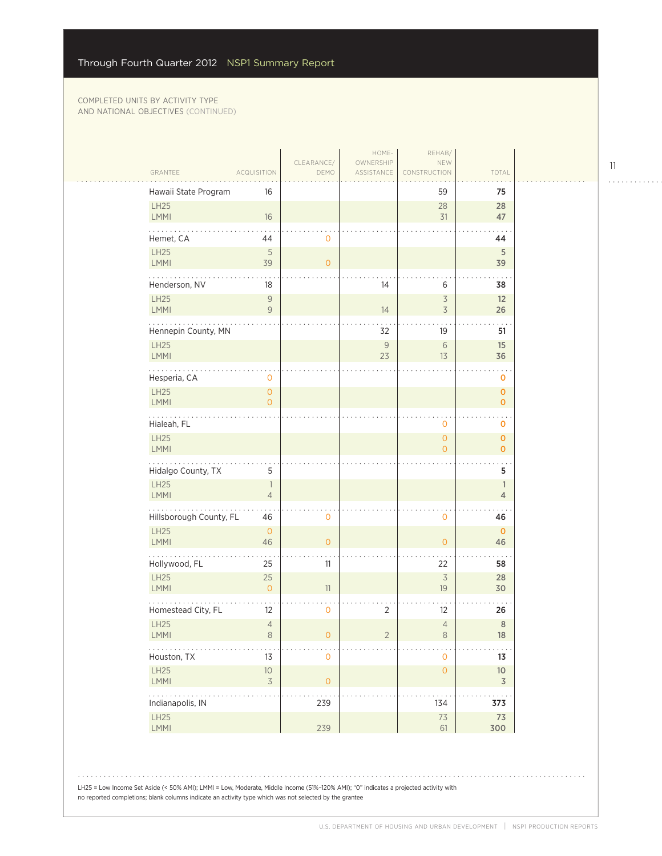$\sim$  .

| GRANTEE                    | <b>ACQUISITION</b>                    | CLEARANCE/<br>DEMO  | HOME-<br>OWNERSHIP<br>ASSISTANCE | REHAB/<br>NEW<br>CONSTRUCTION         | TOTAL                             |  |
|----------------------------|---------------------------------------|---------------------|----------------------------------|---------------------------------------|-----------------------------------|--|
| Hawaii State Program       | 16                                    |                     |                                  | 59                                    | 75                                |  |
| LH25<br><b>LMMI</b>        | 16                                    |                     |                                  | 28<br>31                              | 28<br>47                          |  |
| Hemet, CA                  | 44                                    | 0                   |                                  |                                       | 44                                |  |
| LH25<br>LMMI               | 5<br>39                               | $\overline{O}$      |                                  |                                       | 5<br>39                           |  |
| Henderson, NV              | 18                                    |                     | 14                               | 6                                     | 38                                |  |
| LH25<br>LMMI               | $\mathcal G$<br>9                     |                     | 14                               | $\overline{3}$<br>$\overline{3}$      | 12<br>26                          |  |
| Hennepin County, MN        |                                       |                     | 32                               | 19                                    | 51                                |  |
| LH25<br><b>LMMI</b>        |                                       |                     | $\mathcal{G}$<br>23              | $\sqrt{6}$<br>13                      | 15<br>36                          |  |
| Hesperia, CA               | 0                                     |                     |                                  |                                       | o                                 |  |
| <b>LH25</b><br><b>LMMI</b> | $\mathsf{O}\xspace$<br>$\overline{0}$ |                     |                                  |                                       | $\mathbf 0$<br>$\mathbf 0$        |  |
| Hialeah, FL                |                                       |                     |                                  | 0                                     | $\sim$ .<br>o                     |  |
| LH25<br><b>LMMI</b>        |                                       |                     |                                  | $\mathsf{O}\xspace$<br>$\overline{O}$ | $\mathbf 0$<br>$\overline{O}$     |  |
| Hidalgo County, TX         | 5                                     |                     |                                  |                                       | $\sim$<br>5                       |  |
| LH25<br>LMMI               | $\overline{1}$<br>$\overline{4}$      |                     |                                  |                                       | $\mathbf{1}$<br>$\overline{4}$    |  |
| Hillsborough County, FL    | 46                                    | 0                   |                                  | 0                                     | 46                                |  |
| LH25<br><b>LMMI</b>        | $\overline{0}$<br>46                  | $\overline{O}$      |                                  | $\overline{0}$                        | $\mathbf 0$<br>46                 |  |
| Hollywood, FL              | 25                                    | 11                  |                                  | 22                                    | 58                                |  |
| <b>LH25</b><br>LMMI        | 25<br>$\overline{O}$                  | 11                  |                                  | $\overline{3}$<br>19                  | 28<br>30                          |  |
| Homestead City, FL         | 12                                    | $\mathsf{O}\xspace$ | $\overline{2}$                   | 12                                    | 26                                |  |
| <b>LH25</b><br><b>LMMI</b> | $\sqrt{4}$<br>8                       | $\mathbf 0$         | $\overline{2}$                   | $\sqrt{4}$<br>$\,8\,$                 | $\,$ 8 $\,$<br>18                 |  |
| Houston, TX                | 13                                    | $\mathsf O$         |                                  | $\mathsf O$                           | 13                                |  |
| LH25<br>LMMI               | $10$<br>$\overline{3}$                | $\overline{O}$      |                                  | $\mathsf{O}\xspace$                   | $10\,$<br>$\overline{\mathsf{3}}$ |  |
| .<br>Indianapolis, IN      |                                       | 239                 |                                  | 134                                   | 373                               |  |
| LH25<br>LMMI               |                                       | 239                 |                                  | $7\sqrt{3}$<br>61                     | $7\sqrt{3}$<br>300                |  |
|                            |                                       |                     |                                  |                                       |                                   |  |

LH25 = Low Income Set Aside (< 50% AMI); LMMI = Low, Moderate, Middle Income (51%–120% AMI); "0" indicates a projected activity with no reported completions; blank columns indicate an activity type which was not selected by the grantee

11

. . . . . . . . . . . .

. . . . . . . . . . . . .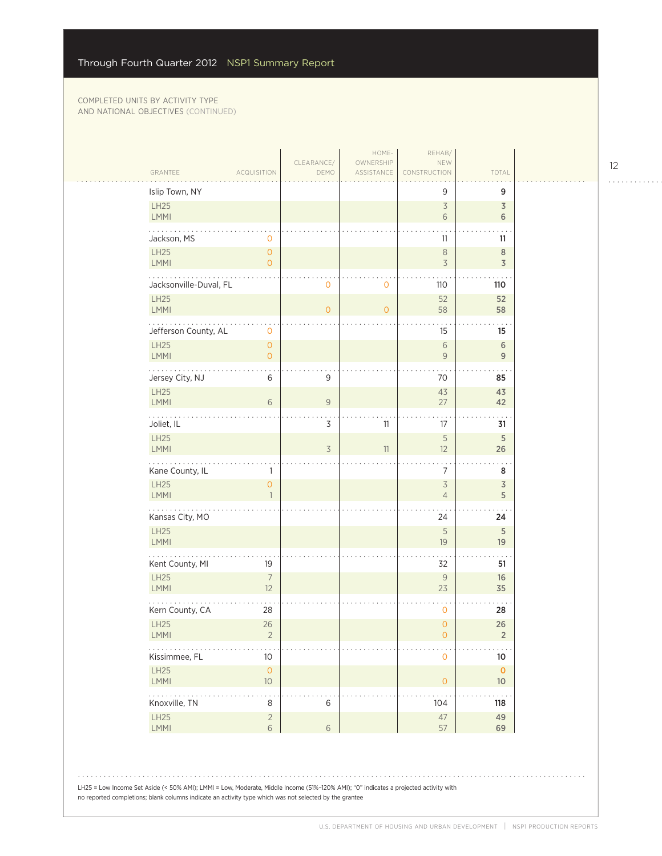| GRANTEE                        | <b>ACQUISITION</b>               | CLEARANCE/<br>DEMO | HOME-<br>OWNERSHIP<br>ASSISTANCE | REHAB/<br>NEW<br>CONSTRUCTION               | TOTAL                        |
|--------------------------------|----------------------------------|--------------------|----------------------------------|---------------------------------------------|------------------------------|
|                                |                                  |                    |                                  |                                             |                              |
| Islip Town, NY<br>LH25<br>LMMI |                                  |                    |                                  | 9<br>$\overline{\mathcal{S}}$<br>$\sqrt{6}$ | 9<br>$\overline{3}$<br>6     |
| Jackson, MS                    | 0                                |                    |                                  | 11                                          | 11                           |
| LH25<br>LMMI                   | $\circ$<br>$\overline{O}$        |                    |                                  | $\,8\,$<br>$\overline{\mathcal{S}}$         | $\,8\,$<br>3                 |
| Jacksonville-Duval, FL         |                                  | $\mathbf{0}$       | 0                                | 110                                         | 110                          |
| <b>LH25</b><br><b>LMMI</b>     |                                  | $\overline{O}$     | $\overline{0}$                   | 52<br>58                                    | 52<br>58                     |
| Jefferson County, AL           | $\mathbf 0$                      |                    |                                  | 15                                          | 15                           |
| LH25<br>LMMI                   | $\overline{0}$<br>$\overline{O}$ |                    |                                  | $\sqrt{6}$<br>$\mathsf{9}$                  | $\,$ 6 $\,$<br>$9\,$         |
| Jersey City, NJ                | 6                                | 9                  |                                  | 70                                          | 85                           |
| LH25<br>LMMI                   | 6                                | $\mathsf{9}$       |                                  | 43<br>27                                    | 43<br>42                     |
| $\ldots$ .<br>Joliet, IL       |                                  | $\overline{3}$     | 11                               | 17                                          | 31                           |
| LH25<br>LMMI                   |                                  | 3                  | 11                               | $\mathsf S$<br>12                           | $\sqrt{5}$<br>26             |
| Kane County, IL                | 1                                |                    |                                  | $\sim$<br>$\overline{7}$                    | 8                            |
| LH25<br>LMMI                   | $\overline{0}$<br>$\mathbf{1}$   |                    |                                  | $\overline{\mathcal{S}}$<br>$\overline{4}$  | $\overline{\mathsf{3}}$<br>5 |
| .<br>Kansas City, MO           |                                  |                    |                                  | 24                                          | 24                           |
| LH25<br><b>LMMI</b>            |                                  |                    |                                  | 5<br>19                                     | 5<br>19                      |
| Kent County, MI                | 19                               |                    |                                  | 32                                          | 51                           |
| <b>LH25</b><br><b>LMMI</b>     | $\overline{7}$<br>12             |                    |                                  | $\mathsf{9}$<br>23                          | 16<br>35                     |
| Kern County, CA                | 28                               |                    |                                  | $\mathbf 0$                                 | 28                           |
| LH25<br><b>LMMI</b>            | 26<br>$\overline{2}$             |                    |                                  | $\mathsf{O}\xspace$<br>0                    | 26<br>$\overline{2}$         |
| .<br>Kissimmee, FL             | $10$                             |                    |                                  | $\mathsf{O}\xspace$                         | $10\,$                       |
| LH25<br>LMMI                   | $\mathsf{O}\xspace$<br>$10$      |                    |                                  | $\mathsf O$                                 | $\mathbf 0$<br>$10$          |
| .<br>Knoxville, TN             | $\,8\,$                          | $\,$ 6 $\,$        |                                  | 104                                         | 118                          |
| LH25<br>LMMI                   | $\sqrt{2}$<br>$6\phantom{a}$     | $6\,$              |                                  | $47\,$<br>57                                | 49<br>69                     |

LH25 = Low Income Set Aside (< 50% AMI); LMMI = Low, Moderate, Middle Income (51%–120% AMI); "0" indicates a projected activity with no reported completions; blank columns indicate an activity type which was not selected by the grantee

12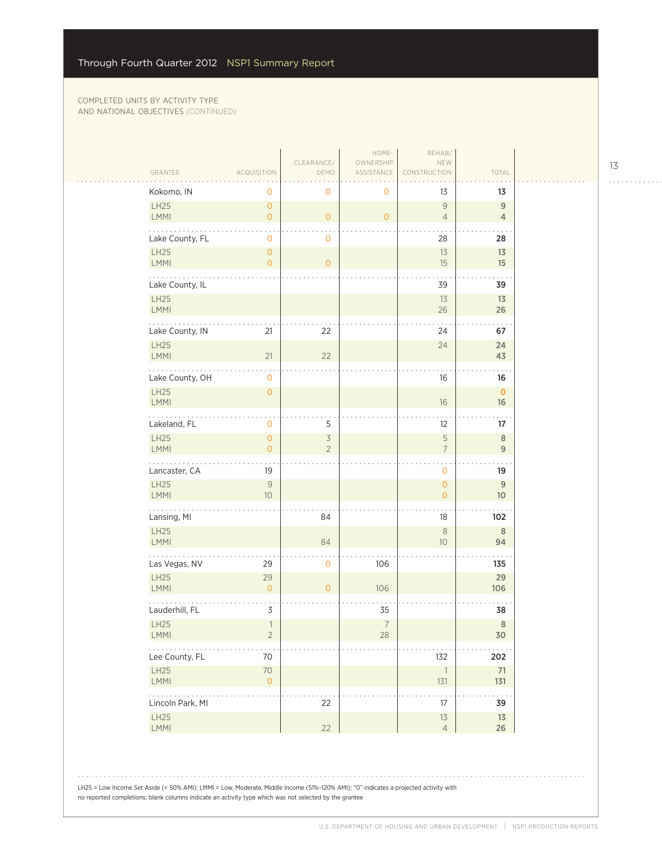$\sim$  .

| GRANTEE<br><b>ACQUISITION</b><br>DEMO<br>ASSISTANCE<br>CONSTRUCTION<br>Kokomo, IN<br>0<br>0<br>13<br>0<br>LH25<br>$\overline{0}$<br>$\mathcal G$<br>$\mathsf{O}\xspace$<br>LMMI<br>$\overline{0}$<br>$\overline{0}$<br>$\overline{4}$<br>. .<br>Lake County, FL<br>$\mathbf 0$<br>$\mathbf 0$<br>28<br>LH25<br>$\overline{0}$<br>13<br>15<br><b>LMMI</b><br>$\overline{O}$<br>$\overline{0}$<br>Lake County, IL<br>39<br>LH25<br>13<br><b>LMMI</b><br>26<br>Lake County, IN<br>21<br>22<br>24<br>LH25<br>24<br>21<br>22<br><b>LMMI</b><br>Lake County, OH<br>16<br>$\mathbf 0$<br>LH25<br>$\mathsf{O}\xspace$<br><b>LMMI</b><br>16<br>.<br>5<br>Lakeland, FL<br>12<br>0<br>$\overline{3}$<br>$\mathsf S$<br>LH25<br>$\overline{0}$<br>$\overline{2}$<br>$\overline{7}$<br>LMMI<br>$\overline{O}$<br>Lancaster, CA<br>19<br>0<br><b>LH25</b><br>$\mathsf{9}$<br>$\overline{0}$<br>10<br><b>LMMI</b><br>$\overline{0}$<br>.<br>Lansing, MI<br>84<br>18<br>LH25<br>$\,8\,$<br><b>LMMI</b><br>84<br>10<br>Las Vegas, NV<br>29<br>$\mathsf{O}\xspace$<br>106<br>LH25<br>29<br>106<br>LMMI<br>$\overline{O}$<br>$\overline{0}$<br>Lauderhill, FL<br>$\overline{3}$<br>35<br>$\overline{7}$<br>LH25<br>$\overline{\phantom{a}}$<br>LMMI<br>$\overline{2}$<br>$28\,$<br>$\mathbb{Z}^2$ . The set of $\mathbb{Z}^2$<br>Lee County, FL<br>70<br>132<br>LH25<br>$70$ |  |            | HOME-     | REHAB/         |                                  |
|-----------------------------------------------------------------------------------------------------------------------------------------------------------------------------------------------------------------------------------------------------------------------------------------------------------------------------------------------------------------------------------------------------------------------------------------------------------------------------------------------------------------------------------------------------------------------------------------------------------------------------------------------------------------------------------------------------------------------------------------------------------------------------------------------------------------------------------------------------------------------------------------------------------------------------------------------------------------------------------------------------------------------------------------------------------------------------------------------------------------------------------------------------------------------------------------------------------------------------------------------------------------------------------------------------------------------------------------------------------|--|------------|-----------|----------------|----------------------------------|
|                                                                                                                                                                                                                                                                                                                                                                                                                                                                                                                                                                                                                                                                                                                                                                                                                                                                                                                                                                                                                                                                                                                                                                                                                                                                                                                                                           |  | CLEARANCE/ | OWNERSHIP | NEW            | TOTAL                            |
|                                                                                                                                                                                                                                                                                                                                                                                                                                                                                                                                                                                                                                                                                                                                                                                                                                                                                                                                                                                                                                                                                                                                                                                                                                                                                                                                                           |  |            |           |                | 13                               |
|                                                                                                                                                                                                                                                                                                                                                                                                                                                                                                                                                                                                                                                                                                                                                                                                                                                                                                                                                                                                                                                                                                                                                                                                                                                                                                                                                           |  |            |           |                | $\overline{9}$<br>$\overline{4}$ |
|                                                                                                                                                                                                                                                                                                                                                                                                                                                                                                                                                                                                                                                                                                                                                                                                                                                                                                                                                                                                                                                                                                                                                                                                                                                                                                                                                           |  |            |           |                | 28                               |
|                                                                                                                                                                                                                                                                                                                                                                                                                                                                                                                                                                                                                                                                                                                                                                                                                                                                                                                                                                                                                                                                                                                                                                                                                                                                                                                                                           |  |            |           |                | 13<br>15                         |
|                                                                                                                                                                                                                                                                                                                                                                                                                                                                                                                                                                                                                                                                                                                                                                                                                                                                                                                                                                                                                                                                                                                                                                                                                                                                                                                                                           |  |            |           |                | 39                               |
|                                                                                                                                                                                                                                                                                                                                                                                                                                                                                                                                                                                                                                                                                                                                                                                                                                                                                                                                                                                                                                                                                                                                                                                                                                                                                                                                                           |  |            |           |                | 13<br>26                         |
|                                                                                                                                                                                                                                                                                                                                                                                                                                                                                                                                                                                                                                                                                                                                                                                                                                                                                                                                                                                                                                                                                                                                                                                                                                                                                                                                                           |  |            |           |                | 67                               |
|                                                                                                                                                                                                                                                                                                                                                                                                                                                                                                                                                                                                                                                                                                                                                                                                                                                                                                                                                                                                                                                                                                                                                                                                                                                                                                                                                           |  |            |           |                | 24<br>43                         |
|                                                                                                                                                                                                                                                                                                                                                                                                                                                                                                                                                                                                                                                                                                                                                                                                                                                                                                                                                                                                                                                                                                                                                                                                                                                                                                                                                           |  |            |           |                | 16                               |
|                                                                                                                                                                                                                                                                                                                                                                                                                                                                                                                                                                                                                                                                                                                                                                                                                                                                                                                                                                                                                                                                                                                                                                                                                                                                                                                                                           |  |            |           |                | $\mathbf 0$<br>16                |
|                                                                                                                                                                                                                                                                                                                                                                                                                                                                                                                                                                                                                                                                                                                                                                                                                                                                                                                                                                                                                                                                                                                                                                                                                                                                                                                                                           |  |            |           |                | 17                               |
|                                                                                                                                                                                                                                                                                                                                                                                                                                                                                                                                                                                                                                                                                                                                                                                                                                                                                                                                                                                                                                                                                                                                                                                                                                                                                                                                                           |  |            |           |                | $\,8\,$<br>$\overline{9}$        |
|                                                                                                                                                                                                                                                                                                                                                                                                                                                                                                                                                                                                                                                                                                                                                                                                                                                                                                                                                                                                                                                                                                                                                                                                                                                                                                                                                           |  |            |           |                | 19                               |
|                                                                                                                                                                                                                                                                                                                                                                                                                                                                                                                                                                                                                                                                                                                                                                                                                                                                                                                                                                                                                                                                                                                                                                                                                                                                                                                                                           |  |            |           |                | $\mathsf g$<br>10 <sup>°</sup>   |
|                                                                                                                                                                                                                                                                                                                                                                                                                                                                                                                                                                                                                                                                                                                                                                                                                                                                                                                                                                                                                                                                                                                                                                                                                                                                                                                                                           |  |            |           |                | 102                              |
|                                                                                                                                                                                                                                                                                                                                                                                                                                                                                                                                                                                                                                                                                                                                                                                                                                                                                                                                                                                                                                                                                                                                                                                                                                                                                                                                                           |  |            |           |                | $\,$ 8 $\,$<br>94                |
|                                                                                                                                                                                                                                                                                                                                                                                                                                                                                                                                                                                                                                                                                                                                                                                                                                                                                                                                                                                                                                                                                                                                                                                                                                                                                                                                                           |  |            |           |                | 135                              |
|                                                                                                                                                                                                                                                                                                                                                                                                                                                                                                                                                                                                                                                                                                                                                                                                                                                                                                                                                                                                                                                                                                                                                                                                                                                                                                                                                           |  |            |           |                | 29<br>106                        |
|                                                                                                                                                                                                                                                                                                                                                                                                                                                                                                                                                                                                                                                                                                                                                                                                                                                                                                                                                                                                                                                                                                                                                                                                                                                                                                                                                           |  |            |           |                | 38                               |
|                                                                                                                                                                                                                                                                                                                                                                                                                                                                                                                                                                                                                                                                                                                                                                                                                                                                                                                                                                                                                                                                                                                                                                                                                                                                                                                                                           |  |            |           |                | 8<br>$30\,$                      |
|                                                                                                                                                                                                                                                                                                                                                                                                                                                                                                                                                                                                                                                                                                                                                                                                                                                                                                                                                                                                                                                                                                                                                                                                                                                                                                                                                           |  |            |           |                | 202                              |
| LMMI<br>$\overline{O}$<br>$131$                                                                                                                                                                                                                                                                                                                                                                                                                                                                                                                                                                                                                                                                                                                                                                                                                                                                                                                                                                                                                                                                                                                                                                                                                                                                                                                           |  |            |           | $\overline{1}$ | 71<br>131                        |
| $\mathbb{Z}^2$ . The set of $\mathbb{Z}^2$<br>$\sim$ $\sim$<br>Lincoln Park, MI<br>22<br>17                                                                                                                                                                                                                                                                                                                                                                                                                                                                                                                                                                                                                                                                                                                                                                                                                                                                                                                                                                                                                                                                                                                                                                                                                                                               |  |            |           |                | 39                               |
| $13$<br>LH25<br>22<br>$\overline{4}$<br>LMMI                                                                                                                                                                                                                                                                                                                                                                                                                                                                                                                                                                                                                                                                                                                                                                                                                                                                                                                                                                                                                                                                                                                                                                                                                                                                                                              |  |            |           |                | $13\,$<br>26                     |

LH25 = Low Income Set Aside (< 50% AMI); LMMI = Low, Moderate, Middle Income (51%–120% AMI); "0" indicates a projected activity with no reported completions; blank columns indicate an activity type which was not selected by the grantee

13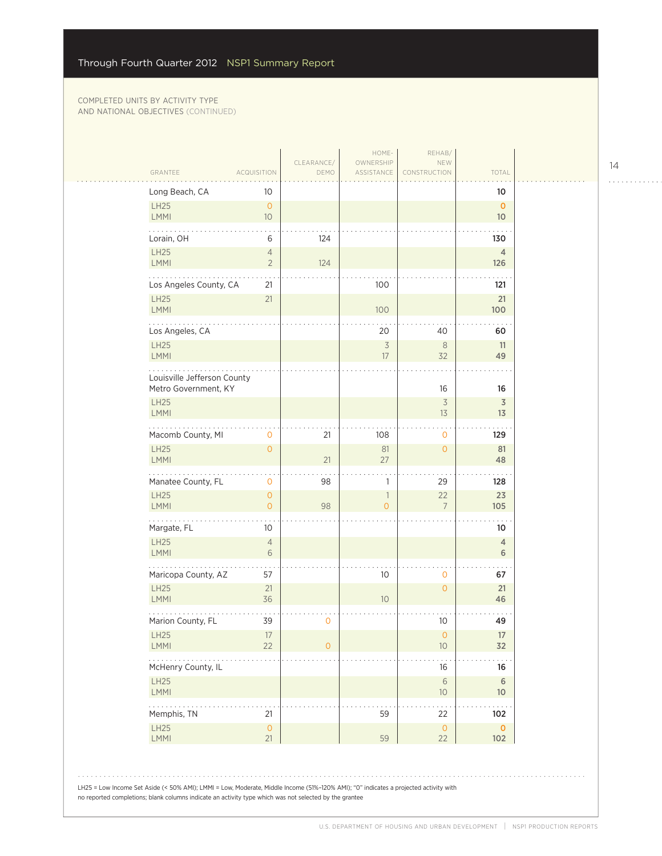|                                     |                                   | CLEARANCE/     | HOME-<br>OWNERSHIP             | REHAB/<br>NEW        |                                 |  |
|-------------------------------------|-----------------------------------|----------------|--------------------------------|----------------------|---------------------------------|--|
| GRANTEE                             | <b>ACQUISITION</b>                | DEMO           | ASSISTANCE                     | CONSTRUCTION         | TOTAL                           |  |
| Long Beach, CA                      | 10                                |                |                                |                      | 10                              |  |
| LH25<br><b>LMMI</b>                 | $\overline{O}$<br>10 <sup>°</sup> |                |                                |                      | $\mathbf{0}$<br>10 <sup>°</sup> |  |
|                                     |                                   |                |                                |                      |                                 |  |
| Lorain, OH<br>LH25                  | 6<br>$\overline{4}$               | 124            |                                |                      | 130<br>$\overline{4}$           |  |
| <b>LMMI</b>                         | $\overline{2}$                    | 124            |                                |                      | 126                             |  |
| .<br>Los Angeles County, CA         | 21                                |                | 100                            |                      | 121                             |  |
| LH25<br>LMMI                        | 21                                |                | 100                            |                      | 21<br>100                       |  |
| Los Angeles, CA                     |                                   |                | 20                             | 40                   | 60                              |  |
| <b>LH25</b><br>LMMI                 |                                   |                | $\overline{3}$<br>17           | 8<br>32              | 11<br>49                        |  |
| Louisville Jefferson County         |                                   |                |                                |                      |                                 |  |
| Metro Government, KY<br><b>LH25</b> |                                   |                |                                | 16<br>$\overline{3}$ | 16<br>$\overline{3}$            |  |
| <b>LMMI</b>                         |                                   |                |                                | 13                   | 13                              |  |
| Macomb County, MI                   | 0                                 | 21             | 108                            | $\mathbf{O}$         | 129                             |  |
| <b>LH25</b><br>LMMI                 | $\overline{0}$                    | 21             | 81<br>27                       | $\overline{0}$       | 81<br>48                        |  |
| Manatee County, FL                  | 0                                 | 98             | 1                              | 29                   | 128                             |  |
| <b>LH25</b><br><b>LMMI</b>          | $\overline{0}$<br>$\overline{0}$  | 98             | $\mathbf{1}$<br>$\overline{O}$ | 22<br>$\overline{7}$ | 23<br>105                       |  |
| .<br>Margate, FL                    | 10                                |                |                                |                      | 10                              |  |
| LH25                                | $\overline{4}$                    |                |                                |                      | $\overline{4}$                  |  |
| <b>LMMI</b>                         | 6                                 |                |                                |                      | 6                               |  |
| Maricopa County, AZ                 | 57                                |                | 10                             | $\mathbf{O}$         | 67                              |  |
| LH25<br>LMMI                        | 21<br>36                          |                | 10 <sup>°</sup>                | $\overline{0}$       | 21<br>46                        |  |
| Marion County, FL                   | 39                                | $\mathbf 0$    |                                | 10                   | 49                              |  |
| LH25                                | 17                                |                |                                | $\circ$              | 17                              |  |
| <b>LMMI</b><br>المالم المالم        | 22                                | $\overline{O}$ |                                | $10$                 | 32                              |  |
| McHenry County, IL                  |                                   |                |                                | 16                   | 16                              |  |
| LH25<br><b>LMMI</b>                 |                                   |                |                                | $\sqrt{6}$<br>$10\,$ | $\,$ 6<br>10                    |  |
| Memphis, TN                         | 21                                |                | 59                             | 22                   | 102                             |  |
| LH25<br>LMMI                        | $\mathsf{O}\xspace$<br>21         |                | 59                             | $\circ$<br>22        | $\pmb{0}$<br>102                |  |
|                                     |                                   |                |                                |                      |                                 |  |

14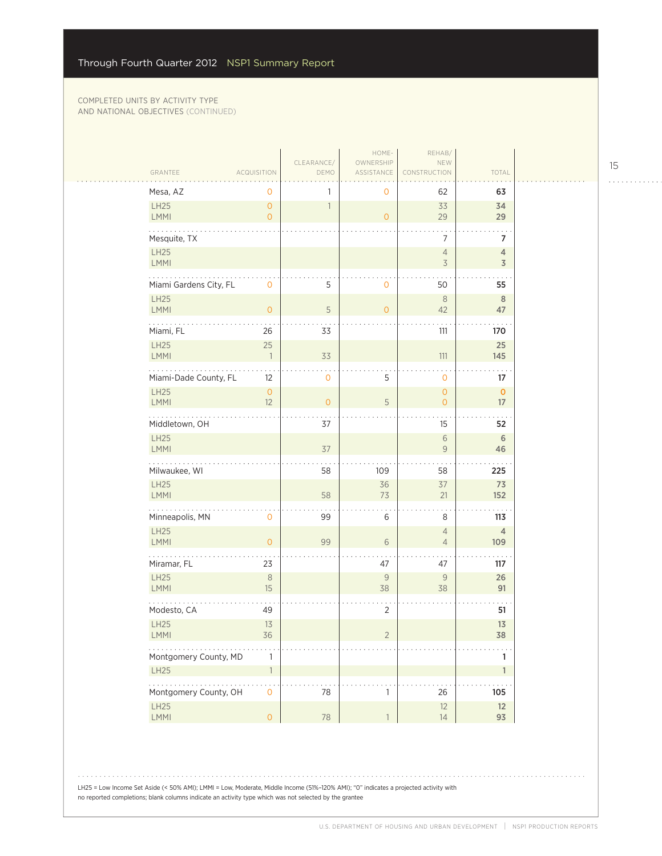|                            |                           |                          | HOME-                   | REHAB/                           |                                           |  |
|----------------------------|---------------------------|--------------------------|-------------------------|----------------------------------|-------------------------------------------|--|
| GRANTEE                    | <b>ACQUISITION</b>        | CLEARANCE/<br>DEMO       | OWNERSHIP<br>ASSISTANCE | NEW<br><b>STRUCTION</b>          | TOTAL                                     |  |
|                            |                           |                          |                         |                                  |                                           |  |
| Mesa, AZ<br>LH25           | 0<br>$\circ$              |                          | 0                       | 62<br>33                         | 63                                        |  |
| LMMI                       | $\overline{O}$            | $\overline{\phantom{a}}$ | $\circ$                 | 29                               | 34<br>29                                  |  |
| Mesquite, TX               |                           |                          |                         | 7                                | 7                                         |  |
| LH25<br><b>LMMI</b>        |                           |                          |                         | $\sqrt{4}$<br>3                  | $\overline{4}$<br>$\overline{\mathsf{3}}$ |  |
| Miami Gardens City, FL     | $\mathbf 0$               | 5                        | $\mathbf 0$             | 50                               | 55                                        |  |
| <b>LH25</b><br>LMMI        | $\mathsf{O}\xspace$       | $\mathsf S$              | $\mathbf{0}$            | $\,8\,$<br>42                    | $\mathbf{8}$<br>47                        |  |
| Miami, FL                  | 26                        | 33                       |                         | 111                              | 170                                       |  |
| LH25<br>LMMI               | 25<br>$\overline{1}$      | 33                       |                         | $111$                            | 25<br>145                                 |  |
| Miami-Dade County, FL      | 12                        | 0                        | 5                       | $\mathbf 0$                      | 17                                        |  |
| <b>LH25</b><br><b>LMMI</b> | $\mathsf{O}\xspace$<br>12 | $\overline{O}$           | 5                       | $\mathsf{O}\xspace$<br>$\circ$   | $\mathbf 0$<br>17                         |  |
| Middletown, OH             |                           | 37                       |                         | 15                               | 52                                        |  |
| LH25<br>LMMI               |                           | 37                       |                         | $\sqrt{6}$<br>$\mathsf{9}$       | 6<br>46                                   |  |
| Milwaukee, WI              |                           | 58                       | 109                     | 58                               | 225                                       |  |
| LH25<br>LMMI               |                           | 58                       | 36<br>73                | 37<br>21                         | 73<br>152                                 |  |
| Minneapolis, MN            | $\mathbf 0$               | 99                       | 6                       | 8                                | 113                                       |  |
| LH25<br>LMMI               | $\overline{O}$            | 99                       | 6                       | $\overline{4}$<br>$\overline{4}$ | $\overline{4}$<br>109                     |  |
| Miramar, FL                | 23                        |                          | 47                      | 47                               | 117                                       |  |
| <b>LH25</b><br>LMMI        | $\,8\,$<br>15             |                          | $\mathsf 9$<br>38       | 9<br>38                          | 26<br>91                                  |  |
| Modesto, CA                | 49                        |                          | $\overline{2}$          |                                  | 51                                        |  |
| LH25<br><b>LMMI</b>        | 13<br>36                  |                          | $\overline{2}$          |                                  | 13<br>38                                  |  |
| Montgomery County, MD      | 1                         |                          |                         |                                  | $\mathbf{1}$                              |  |
| LH25                       | $\overline{1}$            |                          |                         |                                  | $\mathbf{1}$                              |  |
| .<br>Montgomery County, OH | $\mathbf 0$               | 78                       | 1                       | 26                               | 105                                       |  |
| LH25<br>LMMI               | $\mathsf{O}\xspace$       | $78\,$                   | $\mathbf{1}$            | 12<br>14                         | 12<br>93                                  |  |
|                            |                           |                          |                         |                                  |                                           |  |

15

. . . . . . . . . . . .

LH25 = Low Income Set Aside (< 50% AMI); LMMI = Low, Moderate, Middle Income (51%–120% AMI); "0" indicates a projected activity with no reported completions; blank columns indicate an activity type which was not selected by the grantee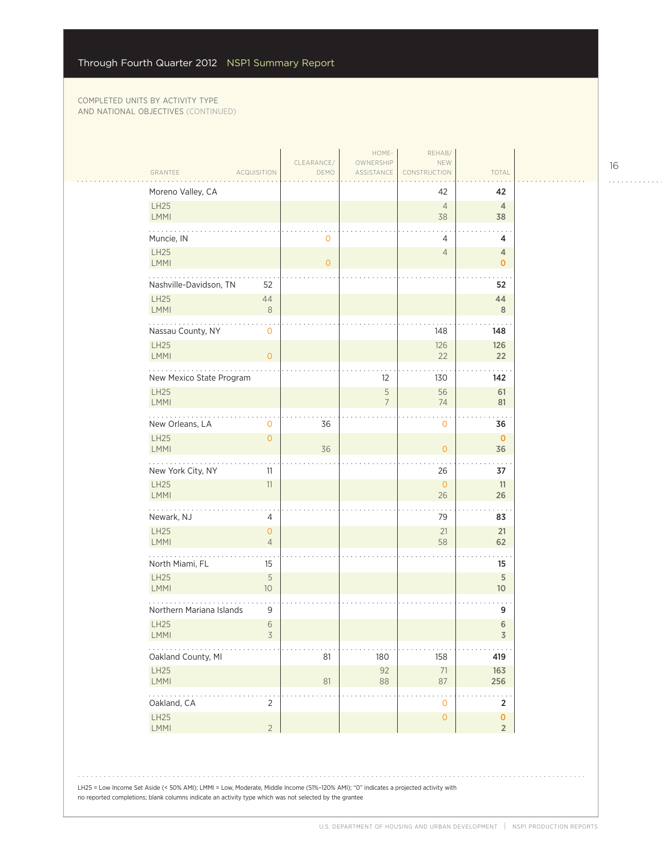$\mathcal{L}_{\mathcal{A}}$ 

| GRANTEE                    | ACQUISITION                           | CLEARANCE/<br>DEMO | HOME-<br>OWNERSHIP<br>ASSISTANCE | REHAB/<br>NEW<br>CONSTRUCTION | TOTAL                                |
|----------------------------|---------------------------------------|--------------------|----------------------------------|-------------------------------|--------------------------------------|
| Moreno Valley, CA          |                                       |                    |                                  | 42                            | 42                                   |
| LH25<br>LMMI               |                                       |                    |                                  | $\overline{4}$<br>38          | $\overline{4}$<br>38                 |
| Muncie, IN                 |                                       | 0                  |                                  | 4                             | 4                                    |
| LH25<br>LMMI               |                                       | $\overline{0}$     |                                  | $\overline{4}$                | $\overline{4}$<br>$\mathbf{O}$       |
| Nashville-Davidson, TN     | 52                                    |                    |                                  |                               | 52                                   |
| <b>LH25</b><br><b>LMMI</b> | 44<br>$\,8\,$                         |                    |                                  |                               | 44<br>8                              |
| Nassau County, NY          | $\mathbf 0$                           |                    |                                  | 148                           | 148                                  |
| <b>LH25</b><br>LMMI        | $\mathsf{O}\xspace$                   |                    |                                  | 126<br>22                     | 126<br>22                            |
| New Mexico State Program   |                                       |                    | 12                               | 130                           | 142                                  |
| <b>LH25</b><br>LMMI        |                                       |                    | $\mathsf S$<br>7                 | 56<br>74                      | 61<br>81                             |
| New Orleans, LA            | 0                                     | 36                 |                                  | $\mathbf 0$                   | 36                                   |
| <b>LH25</b><br>LMMI        | $\overline{O}$                        | 36                 |                                  | $\overline{O}$                | $\mathbf 0$<br>36                    |
| New York City, NY          | 11                                    |                    |                                  | 26                            | 37                                   |
| <b>LH25</b><br>LMMI        | 11                                    |                    |                                  | $\mathbf{O}$<br>26            | 11<br>26                             |
| Newark, NJ                 | 4                                     |                    |                                  | 79                            | 83                                   |
| LH25<br><b>LMMI</b>        | $\mathsf{O}\xspace$<br>$\overline{4}$ |                    |                                  | 21<br>58                      | 21<br>62                             |
| North Miami, FL            | 15                                    |                    |                                  |                               | 15                                   |
| <b>LH25</b><br><b>LMMI</b> | 5<br>10 <sup>°</sup>                  |                    |                                  |                               | $\sqrt{5}$<br>10                     |
| Northern Mariana Islands   | 9                                     |                    |                                  |                               | 9                                    |
| <b>LH25</b><br>LMMI        | $6\,$<br>3                            |                    |                                  |                               | $\,$ 6<br>$\mathsf 3$                |
| Oakland County, MI         |                                       | 81                 | 180                              | 158                           | 419                                  |
| LH25<br>LMMI               |                                       | 81                 | 92<br>88                         | $71\,$<br>87                  | 163<br>256                           |
| .<br>Oakland, CA           | $\overline{2}$                        |                    |                                  | $\mathsf{O}\xspace$           | $\sim$ .<br>$\mathbf 2$              |
| LH25<br>LMMI               | $\overline{2}$                        |                    |                                  | $\mathsf{O}\xspace$           | $\pmb{\mathsf{O}}$<br>$\overline{2}$ |

16 . . . . . . . . . . . .

 $1.1.1.1.1.1.1.1$ 

LH25 = Low Income Set Aside (< 50% AMI); LMMI = Low, Moderate, Middle Income (51%–120% AMI); "0" indicates a projected activity with no reported completions; blank columns indicate an activity type which was not selected by the grantee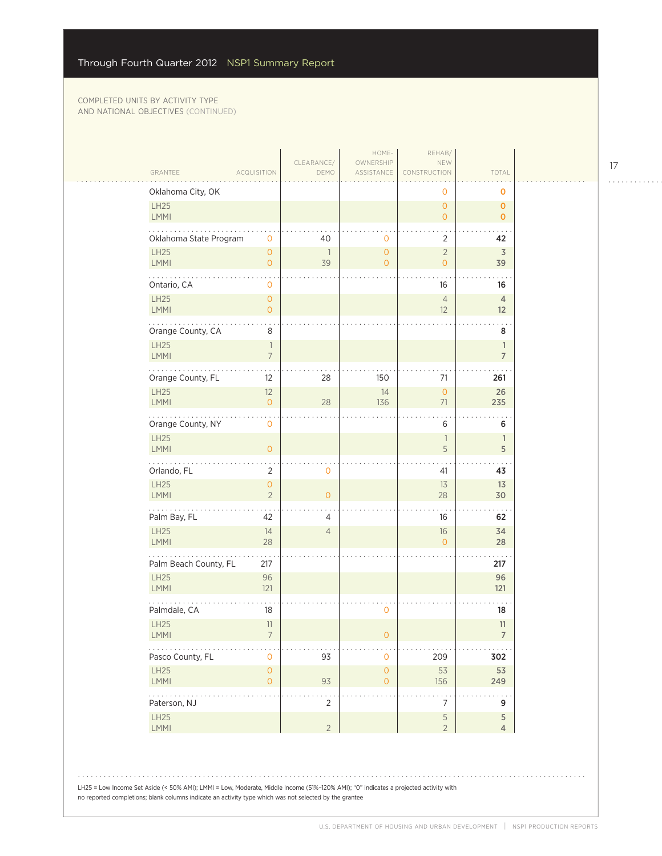| GRANTEE                           | <b>ACQUISITION</b>                                    | CLEARANCE/<br>DEMO             | HOME-<br>OWNERSHIP<br>ASSISTANCE   | REHAB/<br>NEW<br>CONSTRUCTION                   | TOTAL                               |
|-----------------------------------|-------------------------------------------------------|--------------------------------|------------------------------------|-------------------------------------------------|-------------------------------------|
|                                   |                                                       |                                |                                    |                                                 |                                     |
| Oklahoma City, OK<br>LH25<br>LMMI |                                                       |                                |                                    | $\mathbf 0$<br>$\overline{O}$<br>$\overline{O}$ | O<br>$\mathbf{0}$<br>$\mathbf{0}$   |
| Oklahoma State Program            | $\mathbf 0$                                           | 40                             | $\mathbf{0}$                       | $\overline{2}$                                  | 42                                  |
| LH25<br>LMMI                      | $\mathsf{O}\xspace$<br>$\mathsf{O}\xspace$            | $\overline{\phantom{a}}$<br>39 | $\circ$<br>$\circ$                 | $\sqrt{2}$<br>$\overline{O}$                    | $\overline{3}$<br>39                |
| .<br>Ontario, CA                  | $\mathbf 0$                                           |                                |                                    | 16                                              | 16                                  |
| LH25<br>LMMI                      | $\mathsf{O}\xspace$<br>$\mathbf{O}$                   |                                |                                    | $\overline{4}$<br>12                            | $\overline{4}$<br>12                |
| Orange County, CA<br>LH25<br>LMMI | $\,8\,$<br>$\overline{\phantom{a}}$<br>$\overline{7}$ |                                |                                    |                                                 | 8<br>$\mathbf{1}$<br>$\overline{7}$ |
| Orange County, FL                 | 12                                                    | 28                             | 150                                | 71                                              | 261                                 |
| LH25<br>LMMI                      | 12<br>$\mathsf{O}\xspace$                             | 28                             | 14<br>136                          | $\overline{0}$<br>71                            | 26<br>235                           |
| .<br>Orange County, NY            | $\mathbf 0$                                           |                                |                                    | 6                                               | 6                                   |
| LH25<br>LMMI                      | $\circ$                                               |                                |                                    | $\mathbb{1}$<br>5                               | $\mathbf{1}$<br>5                   |
| Orlando, FL                       | $\overline{2}$                                        | $\mathsf{O}\xspace$            |                                    | 41                                              | 43                                  |
| LH25<br>LMMI                      | $\mathsf{O}\xspace$<br>$\overline{2}$                 | $\overline{O}$                 |                                    | 13<br>28                                        | 13<br>30                            |
| .<br>Palm Bay, FL                 | 42                                                    | 4                              |                                    | 16                                              | 62                                  |
| LH25<br><b>LMMI</b>               | 14<br>28                                              | $\overline{4}$                 |                                    | 16<br>$\overline{O}$                            | 34<br>28                            |
| Palm Beach County, FL<br>LH25     | 217                                                   |                                |                                    |                                                 | 217<br>96                           |
| LMMI                              | 96<br>121                                             |                                |                                    |                                                 | 121                                 |
| Palmdale, CA<br>LH25              | $18\,$<br>11                                          |                                | $\mathbf 0$                        |                                                 | 18<br>11                            |
| <b>LMMI</b>                       |                                                       |                                | $\overline{0}$                     |                                                 | 7                                   |
| Pasco County, FL<br>LH25          | $\mathsf{O}\xspace$<br>$\mathsf{O}\xspace$            | 93                             | $\mathbf 0$<br>$\mathsf{O}\xspace$ | 209<br>53                                       | 302<br>53                           |
| LMMI<br>.                         | $\mathsf{O}\xspace$                                   | 93                             | $\overline{0}$                     | 156                                             | 249<br>. .                          |
| Paterson, NJ                      |                                                       | $\overline{2}$                 |                                    | $\boldsymbol{7}$                                | 9                                   |
| LH25<br>LMMI                      |                                                       | $\overline{2}$                 |                                    | $\overline{5}$<br>$\overline{2}$                | 5<br>$\overline{4}$                 |

LH25 = Low Income Set Aside (< 50% AMI); LMMI = Low, Moderate, Middle Income (51%–120% AMI); "0" indicates a projected activity with no reported completions; blank columns indicate an activity type which was not selected by the grantee

17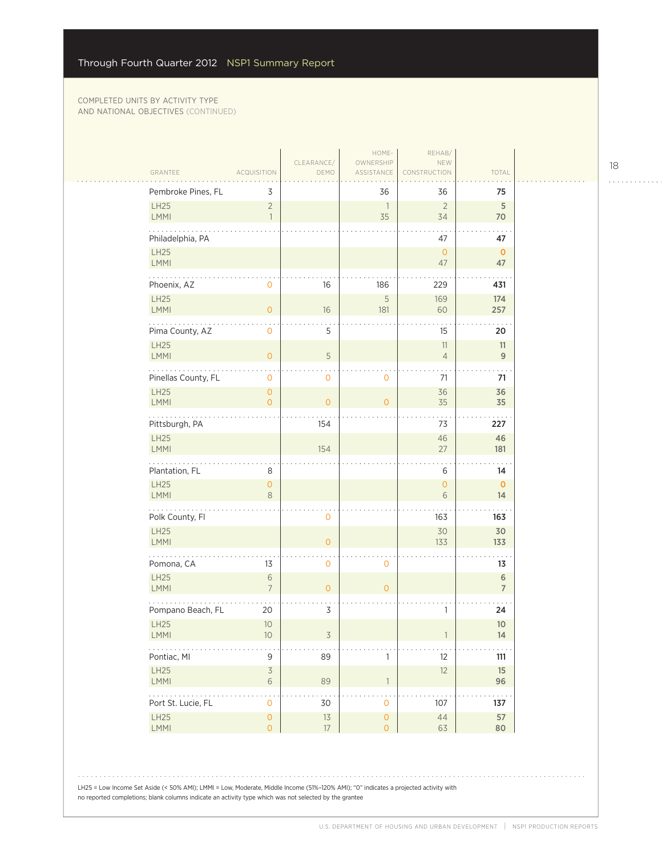المتحدث

|                         |                                     |                    | HOME-                                      | REHAB/                   |                      |
|-------------------------|-------------------------------------|--------------------|--------------------------------------------|--------------------------|----------------------|
| GRANTEE                 | <b>ACQUISITION</b>                  | CLEARANCE/<br>DEMO | OWNERSHIP<br>ASSISTANCE                    | NEW<br><b>NSTRUCTION</b> | TOTAL                |
| Pembroke Pines, FL      | 3                                   |                    | 36                                         | 36                       | 75                   |
| LH25<br><b>LMMI</b>     | $\overline{c}$<br>$\overline{1}$    |                    | $\overline{1}$<br>35                       | $\overline{2}$<br>34     | 5<br>70              |
| Philadelphia, PA        |                                     |                    |                                            | 47                       | 47                   |
| LH25<br><b>LMMI</b>     |                                     |                    |                                            | $\mathbf{O}$<br>47       | $\mathbf{0}$<br>47   |
| .<br>Phoenix, AZ        | 0                                   | 16                 | 186                                        | 229                      | 431                  |
| LH25<br>LMMI            | $\overline{O}$                      | 16                 | 5<br>181                                   | 169<br>60                | 174<br>257           |
| Pima County, AZ         | 0                                   | 5                  |                                            | 15                       | 20                   |
| LH25<br><b>LMMI</b>     | $\mathsf{O}\xspace$                 | $\mathsf S$        |                                            | 11<br>$\overline{4}$     | 11<br>9              |
| Pinellas County, FL     | 0                                   | 0                  | 0                                          | 71                       | 71                   |
| LH25<br>LMMI            | $\mathbf 0$<br>$\overline{0}$       | $\overline{O}$     | $\overline{0}$                             | 36<br>35                 | 36<br>35             |
| .<br>Pittsburgh, PA     |                                     | 154                |                                            | 73                       | 227                  |
| LH25<br>LMMI            |                                     | 154                |                                            | 46<br>27                 | 46<br>181            |
| Plantation, FL          | 8                                   |                    |                                            | 6                        | 14                   |
| LH25<br>LMMI            | $\mathbf 0$<br>8                    |                    |                                            | $\mathsf{O}\xspace$<br>6 | $\mathbf 0$<br>14    |
| .<br>Polk County, Fl    |                                     | 0                  |                                            | 163                      | 163                  |
| LH25<br>LMMI            |                                     | $\overline{O}$     |                                            | 30<br>133                | 30<br>133            |
| Pomona, CA              | 13                                  | 0                  | $\mathbf 0$                                |                          | 13                   |
| LH25<br><b>LMMI</b>     | 6<br>$\overline{7}$                 | $\overline{O}$     | $\overline{0}$                             |                          | 6<br>$\overline{7}$  |
| Pompano Beach, FL       | 20                                  | 3                  |                                            | 1                        | 24                   |
| LH25<br><b>LMMI</b>     | 10<br>10 <sup>°</sup>               | 3                  |                                            |                          | $10$<br>14           |
| Pontiac, MI             | 9                                   | 89                 | 1                                          | 12                       | $111$                |
| LH25<br>LMMI            | $\mathsf 3$<br>6                    | 89                 | $\overline{1}$                             | 12                       | 15<br>96             |
| .<br>Port St. Lucie, FL | $\ddot{\phantom{0}}$<br>$\mathsf O$ | 30                 | $\cdot$<br>$\mathsf{O}\xspace$             | 107                      | $\sim$ $\sim$<br>137 |
| LH25<br>LMMI            | $\mathsf O$<br>$\mathsf{O}\xspace$  | $13$<br>17         | $\mathsf{O}\xspace$<br>$\mathsf{O}\xspace$ | $44$<br>63               | 57<br>80             |

LH25 = Low Income Set Aside (< 50% AMI); LMMI = Low, Moderate, Middle Income (51%–120% AMI); "0" indicates a projected activity with no reported completions; blank columns indicate an activity type which was not selected by the grantee

18

. . . . . . . . . . . .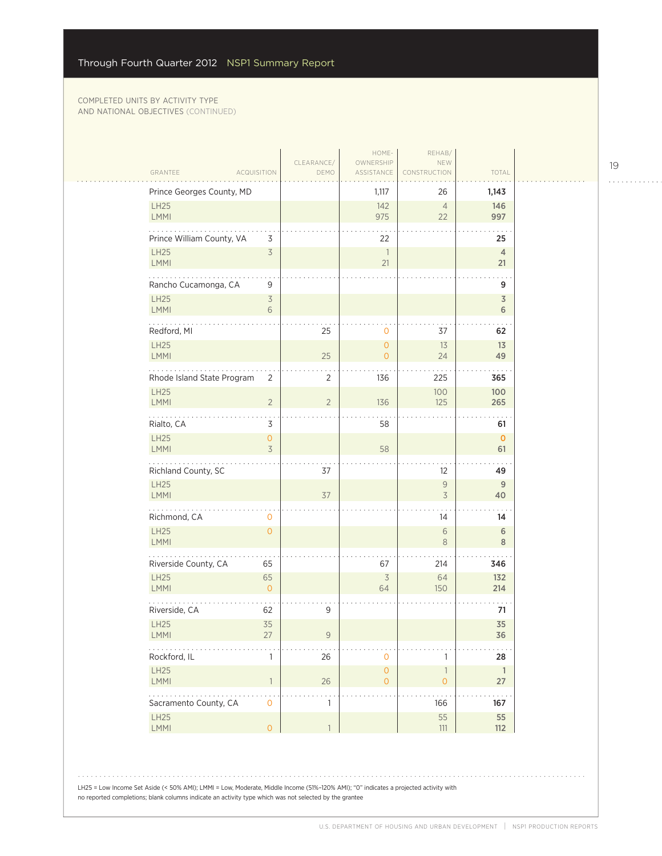| GRANTEE<br><b>ACQUISITION</b>   | CLEARANCE/<br>DEMO               | HOME-<br>OWNERSHIP<br>ASSISTANCE | REHAB/<br>NEW<br>CONSTRUCTION            | TOTAL                        |
|---------------------------------|----------------------------------|----------------------------------|------------------------------------------|------------------------------|
| Prince Georges County, MD       |                                  | 1,117                            | 26                                       | 1,143                        |
| LH25<br>LMMI                    |                                  | 142<br>975                       | $\overline{4}$<br>22                     | 146<br>997                   |
| Prince William County, VA       | 3                                | 22                               |                                          | 25                           |
| LH25<br><b>LMMI</b>             | $\overline{\mathcal{S}}$         | 1<br>21                          |                                          | $\overline{4}$<br>21         |
| Rancho Cucamonga, CA            | 9                                |                                  |                                          | 9                            |
| LH25<br>LMMI                    | $\overline{\mathcal{S}}$<br>6    |                                  |                                          | $\overline{\mathsf{3}}$<br>6 |
| Redford, MI                     | 25                               | $\mathbf 0$                      | 37                                       | 62                           |
| LH25<br>LMMI                    | 25                               | $\mathbf{O}$<br>$\overline{O}$   | 13<br>24                                 | 13<br>49                     |
| Rhode Island State Program      | $\overline{2}$<br>$\overline{2}$ | 136                              | 225                                      | 365                          |
| LH25<br><b>LMMI</b>             | $\overline{2}$<br>$\overline{2}$ | 136                              | 100<br>125                               | 100<br>265                   |
| Rialto, CA                      | 3                                | 58                               |                                          | 61                           |
| LH25<br>LMMI                    | 0<br>$\overline{3}$              | 58                               |                                          | $\mathbf 0$<br>61            |
| Richland County, SC             | 37                               |                                  | 12                                       | 49                           |
| LH25<br><b>LMMI</b>             | 37                               |                                  | $\mathsf{9}$<br>$\overline{3}$           | 9<br>40                      |
| .<br>Richmond, CA               | 0                                |                                  | 14                                       | 14                           |
| LH25<br>LMMI                    | $\overline{O}$                   |                                  | 6<br>$\,8\,$                             | 6<br>$\,8\,$                 |
| Riverside County, CA<br>65      |                                  | 67                               | 214                                      | 346                          |
| LH25<br>65<br>LMMI              | $\overline{0}$                   | $\overline{\mathcal{S}}$<br>64   | 64<br>150                                | 132<br>214                   |
| Riverside, CA<br>62             | 9                                |                                  |                                          | 71                           |
| 35<br>LH25<br><b>LMMI</b><br>27 | 9                                |                                  |                                          | 35<br>36                     |
| Rockford, IL                    | $26\,$<br>1                      | $\mathbf 0$                      | 1                                        | 28                           |
| LH25<br>LMMI                    | $26\,$<br>$\mathbf{1}$           | $\mathsf{O}\xspace$<br>$\circ$   | $\ensuremath{\mathbb{1}}$<br>$\mathsf O$ | $\overline{1}$<br>$27\,$     |
| Sacramento County, CA           | $\mathsf{O}\xspace$<br>1         |                                  | 166                                      | .<br>167                     |
| LH25<br>LMMI                    | $\overline{0}$<br>$\mathbf{1}$   |                                  | 55<br>$111$                              | 55<br>112                    |

LH25 = Low Income Set Aside (< 50% AMI); LMMI = Low, Moderate, Middle Income (51%–120% AMI); "0" indicates a projected activity with no reported completions; blank columns indicate an activity type which was not selected by the grantee

 $\begin{array}{cccccccccccccc} . & . & . & . & . & . & . & . & . & . & . & . & . \end{array}$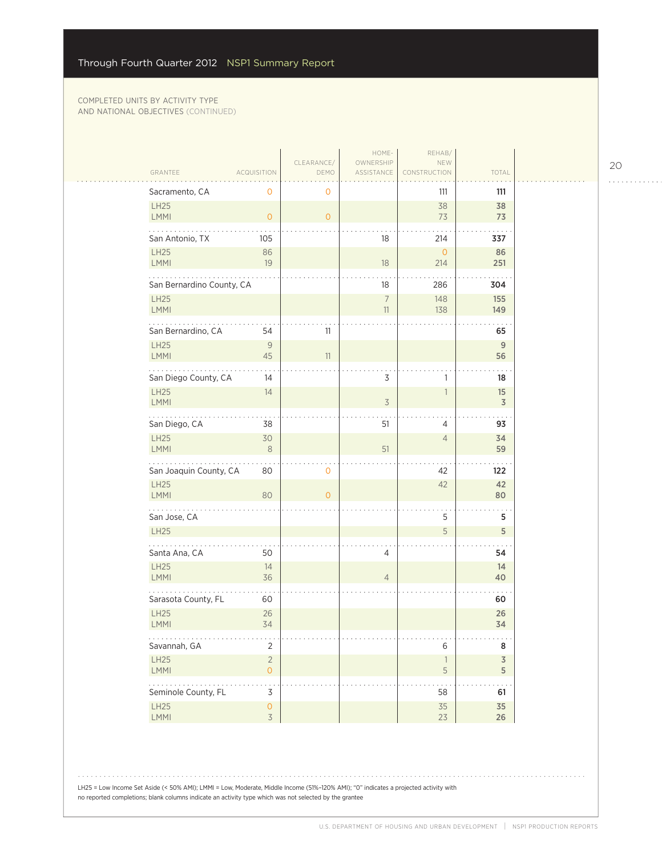$\sim$  .

| CLEARANCE/<br>OWNERSHIP<br>NEW<br>TOTAL<br>GRANTEE<br><b>ACQUISITION</b><br>DEMO<br>ASSISTANCE<br>CONSTRUCTION<br>Sacramento, CA<br>0<br>111<br>0<br>111<br>LH25<br>38<br>38<br>LMMI<br>73<br>73<br>$\overline{O}$<br>$\overline{O}$<br>San Antonio, TX<br>18<br>214<br>105<br>337<br>LH25<br>86<br>$\circ$<br>86<br>LMMI<br>19<br>18<br>251<br>214<br>.<br>San Bernardino County, CA<br>18<br>286<br>304<br>LH25<br>$\boldsymbol{7}$<br>155<br>148<br>LMMI<br>11<br>138<br>149<br>San Bernardino, CA<br>54<br>11<br>65<br><b>LH25</b><br>9<br>9<br>LMMI<br>45<br>56<br>11<br>3<br>San Diego County, CA<br>14<br>18<br>1<br><b>LH25</b><br>14<br>15<br>1<br>LMMI<br>$\overline{\mathcal{S}}$<br>3<br>San Diego, CA<br>51<br>38<br>93<br>4<br><b>LH25</b><br>30<br>34<br>$\overline{4}$<br><b>LMMI</b><br>51<br>$\,8\,$<br>59<br>San Joaquin County, CA<br>80<br>0<br>122<br>42<br><b>LH25</b><br>42<br>42<br>LMMI<br>80<br>80<br>$\overline{O}$<br>.<br>San Jose, CA<br>5<br>5<br>5<br><b>LH25</b><br>5<br>Santa Ana, CA<br>50<br>4<br>54<br><b>LH25</b><br>14<br>14<br>LMMI<br>36<br>$\overline{4}$<br>40<br>Sarasota County, FL<br>60<br>60<br><b>LH25</b><br>26<br>26<br>LMMI<br>34<br>34<br>.<br>Savannah, GA<br>$\overline{2}$<br>6<br>8<br>LH25<br>$\sqrt{2}$<br>$\overline{3}$<br>$\overline{\phantom{a}}$<br><b>LMMI</b><br>$\overline{O}$<br>5<br>5<br>.<br>Seminole County, FL<br>3<br>58<br>61<br><b>LH25</b><br>$\mathsf{O}\xspace$<br>35<br>35<br>$\overline{3}$<br>LMMI<br>23<br>$26\,$ |  | HOME- | REHAB/ |  |
|-------------------------------------------------------------------------------------------------------------------------------------------------------------------------------------------------------------------------------------------------------------------------------------------------------------------------------------------------------------------------------------------------------------------------------------------------------------------------------------------------------------------------------------------------------------------------------------------------------------------------------------------------------------------------------------------------------------------------------------------------------------------------------------------------------------------------------------------------------------------------------------------------------------------------------------------------------------------------------------------------------------------------------------------------------------------------------------------------------------------------------------------------------------------------------------------------------------------------------------------------------------------------------------------------------------------------------------------------------------------------------------------------------------------------------------------------------------------------------------------------------|--|-------|--------|--|
|                                                                                                                                                                                                                                                                                                                                                                                                                                                                                                                                                                                                                                                                                                                                                                                                                                                                                                                                                                                                                                                                                                                                                                                                                                                                                                                                                                                                                                                                                                       |  |       |        |  |
|                                                                                                                                                                                                                                                                                                                                                                                                                                                                                                                                                                                                                                                                                                                                                                                                                                                                                                                                                                                                                                                                                                                                                                                                                                                                                                                                                                                                                                                                                                       |  |       |        |  |
|                                                                                                                                                                                                                                                                                                                                                                                                                                                                                                                                                                                                                                                                                                                                                                                                                                                                                                                                                                                                                                                                                                                                                                                                                                                                                                                                                                                                                                                                                                       |  |       |        |  |
|                                                                                                                                                                                                                                                                                                                                                                                                                                                                                                                                                                                                                                                                                                                                                                                                                                                                                                                                                                                                                                                                                                                                                                                                                                                                                                                                                                                                                                                                                                       |  |       |        |  |
|                                                                                                                                                                                                                                                                                                                                                                                                                                                                                                                                                                                                                                                                                                                                                                                                                                                                                                                                                                                                                                                                                                                                                                                                                                                                                                                                                                                                                                                                                                       |  |       |        |  |
|                                                                                                                                                                                                                                                                                                                                                                                                                                                                                                                                                                                                                                                                                                                                                                                                                                                                                                                                                                                                                                                                                                                                                                                                                                                                                                                                                                                                                                                                                                       |  |       |        |  |
|                                                                                                                                                                                                                                                                                                                                                                                                                                                                                                                                                                                                                                                                                                                                                                                                                                                                                                                                                                                                                                                                                                                                                                                                                                                                                                                                                                                                                                                                                                       |  |       |        |  |
|                                                                                                                                                                                                                                                                                                                                                                                                                                                                                                                                                                                                                                                                                                                                                                                                                                                                                                                                                                                                                                                                                                                                                                                                                                                                                                                                                                                                                                                                                                       |  |       |        |  |
|                                                                                                                                                                                                                                                                                                                                                                                                                                                                                                                                                                                                                                                                                                                                                                                                                                                                                                                                                                                                                                                                                                                                                                                                                                                                                                                                                                                                                                                                                                       |  |       |        |  |
|                                                                                                                                                                                                                                                                                                                                                                                                                                                                                                                                                                                                                                                                                                                                                                                                                                                                                                                                                                                                                                                                                                                                                                                                                                                                                                                                                                                                                                                                                                       |  |       |        |  |
|                                                                                                                                                                                                                                                                                                                                                                                                                                                                                                                                                                                                                                                                                                                                                                                                                                                                                                                                                                                                                                                                                                                                                                                                                                                                                                                                                                                                                                                                                                       |  |       |        |  |
|                                                                                                                                                                                                                                                                                                                                                                                                                                                                                                                                                                                                                                                                                                                                                                                                                                                                                                                                                                                                                                                                                                                                                                                                                                                                                                                                                                                                                                                                                                       |  |       |        |  |
|                                                                                                                                                                                                                                                                                                                                                                                                                                                                                                                                                                                                                                                                                                                                                                                                                                                                                                                                                                                                                                                                                                                                                                                                                                                                                                                                                                                                                                                                                                       |  |       |        |  |
|                                                                                                                                                                                                                                                                                                                                                                                                                                                                                                                                                                                                                                                                                                                                                                                                                                                                                                                                                                                                                                                                                                                                                                                                                                                                                                                                                                                                                                                                                                       |  |       |        |  |
|                                                                                                                                                                                                                                                                                                                                                                                                                                                                                                                                                                                                                                                                                                                                                                                                                                                                                                                                                                                                                                                                                                                                                                                                                                                                                                                                                                                                                                                                                                       |  |       |        |  |
|                                                                                                                                                                                                                                                                                                                                                                                                                                                                                                                                                                                                                                                                                                                                                                                                                                                                                                                                                                                                                                                                                                                                                                                                                                                                                                                                                                                                                                                                                                       |  |       |        |  |
|                                                                                                                                                                                                                                                                                                                                                                                                                                                                                                                                                                                                                                                                                                                                                                                                                                                                                                                                                                                                                                                                                                                                                                                                                                                                                                                                                                                                                                                                                                       |  |       |        |  |
|                                                                                                                                                                                                                                                                                                                                                                                                                                                                                                                                                                                                                                                                                                                                                                                                                                                                                                                                                                                                                                                                                                                                                                                                                                                                                                                                                                                                                                                                                                       |  |       |        |  |
|                                                                                                                                                                                                                                                                                                                                                                                                                                                                                                                                                                                                                                                                                                                                                                                                                                                                                                                                                                                                                                                                                                                                                                                                                                                                                                                                                                                                                                                                                                       |  |       |        |  |
|                                                                                                                                                                                                                                                                                                                                                                                                                                                                                                                                                                                                                                                                                                                                                                                                                                                                                                                                                                                                                                                                                                                                                                                                                                                                                                                                                                                                                                                                                                       |  |       |        |  |
|                                                                                                                                                                                                                                                                                                                                                                                                                                                                                                                                                                                                                                                                                                                                                                                                                                                                                                                                                                                                                                                                                                                                                                                                                                                                                                                                                                                                                                                                                                       |  |       |        |  |
|                                                                                                                                                                                                                                                                                                                                                                                                                                                                                                                                                                                                                                                                                                                                                                                                                                                                                                                                                                                                                                                                                                                                                                                                                                                                                                                                                                                                                                                                                                       |  |       |        |  |
|                                                                                                                                                                                                                                                                                                                                                                                                                                                                                                                                                                                                                                                                                                                                                                                                                                                                                                                                                                                                                                                                                                                                                                                                                                                                                                                                                                                                                                                                                                       |  |       |        |  |
|                                                                                                                                                                                                                                                                                                                                                                                                                                                                                                                                                                                                                                                                                                                                                                                                                                                                                                                                                                                                                                                                                                                                                                                                                                                                                                                                                                                                                                                                                                       |  |       |        |  |
|                                                                                                                                                                                                                                                                                                                                                                                                                                                                                                                                                                                                                                                                                                                                                                                                                                                                                                                                                                                                                                                                                                                                                                                                                                                                                                                                                                                                                                                                                                       |  |       |        |  |

LH25 = Low Income Set Aside (< 50% AMI); LMMI = Low, Moderate, Middle Income (51%–120% AMI); "0" indicates a projected activity with no reported completions; blank columns indicate an activity type which was not selected by the grantee

20

. . . . . . . . . . . .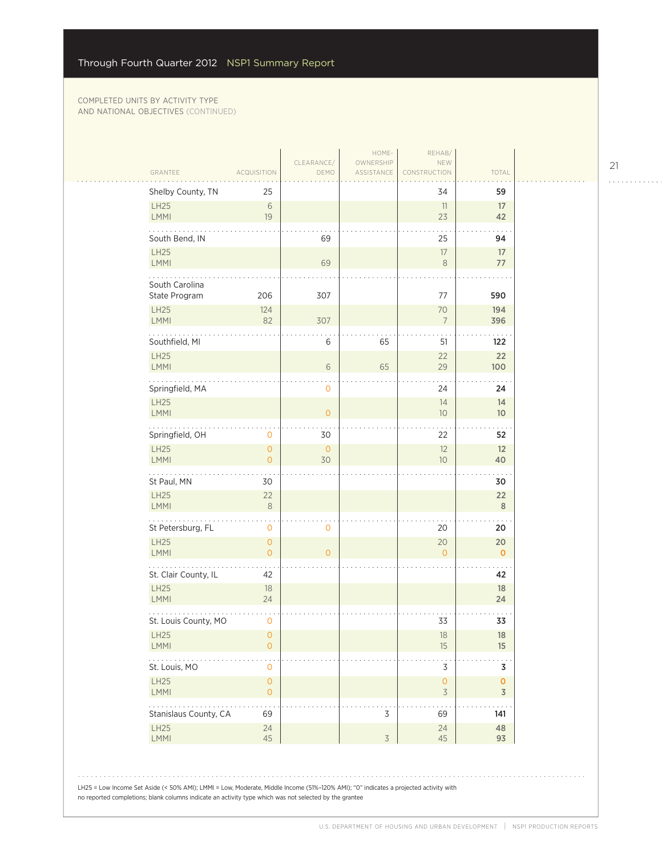| Shelby County, TN                                               | 25                                    |                |                | 34                                    | 59                            |
|-----------------------------------------------------------------|---------------------------------------|----------------|----------------|---------------------------------------|-------------------------------|
| LH25<br>LMMI                                                    | 6<br>19                               |                |                | 11<br>23                              | 17<br>42                      |
| South Bend, IN                                                  |                                       | 69             |                | 25                                    | 94                            |
| LH25<br><b>LMMI</b>                                             |                                       | 69             |                | 17<br>$\,8\,$                         | 17<br>77                      |
| South Carolina                                                  |                                       |                |                |                                       |                               |
| State Program                                                   | 206                                   | 307            |                | 77                                    | 590<br>194                    |
| LH25<br>LMMI                                                    | 124<br>82                             | 307            |                | 70<br>$7\overline{ }$                 | 396                           |
| Southfield, MI                                                  |                                       | 6              | 65             | 51                                    | 122                           |
| LH25<br><b>LMMI</b>                                             |                                       | 6              | 65             | 22<br>29                              | 22<br>100                     |
| Springfield, MA                                                 |                                       | 0              |                | 24                                    | 24                            |
| LH25<br>LMMI                                                    |                                       | $\overline{0}$ |                | 14<br>10                              | 14<br>10 <sup>°</sup>         |
| Springfield, OH                                                 | 0                                     | 30             |                | 22                                    | 52                            |
| LH25<br><b>LMMI</b>                                             | $\overline{O}$<br>$\overline{0}$      | $\circ$<br>30  |                | 12<br>10 <sup>°</sup>                 | 12<br>40                      |
| St Paul, MN                                                     | 30                                    |                |                |                                       | 30                            |
| LH25<br><b>LMMI</b>                                             | 22<br>$\,8\,$                         |                |                |                                       | 22<br>$\,$ 8 $\,$             |
| $\mathbb{Z}^2$ . The set of $\mathbb{Z}^2$<br>St Petersburg, FL | . .<br>0                              | 0              |                | 20                                    | 20                            |
| LH25<br><b>LMMI</b>                                             | $\mathsf{O}\xspace$<br>$\overline{0}$ | $\overline{0}$ |                | 20<br>$\Omega$                        | 20<br>$\mathbf 0$             |
| St. Clair County, IL                                            | 42                                    |                |                |                                       | 42                            |
| LH25<br><b>LMMI</b>                                             | 18<br>24                              |                |                |                                       | 18<br>24                      |
| St. Louis County, MO                                            | 0                                     |                |                | 33                                    | 33                            |
| LH25<br><b>LMMI</b>                                             | 0<br>$\mathsf{O}\xspace$              |                |                | 18<br>15                              | 18<br>15                      |
| St. Louis, MO                                                   | 0                                     |                |                | 3                                     | 3                             |
| LH25<br><b>LMMI</b>                                             | 0<br>0                                |                |                | $\mathsf{O}\xspace$<br>$\overline{3}$ | $\mathbf 0$<br>$\overline{3}$ |
| Stanislaus County, CA                                           | 69                                    |                | 3              | 69                                    | 141                           |
| <b>LH25</b><br><b>LMMI</b>                                      | 24<br>45                              |                | $\mathfrak{Z}$ | 24<br>45                              | 48<br>93                      |
|                                                                 |                                       |                |                |                                       |                               |

21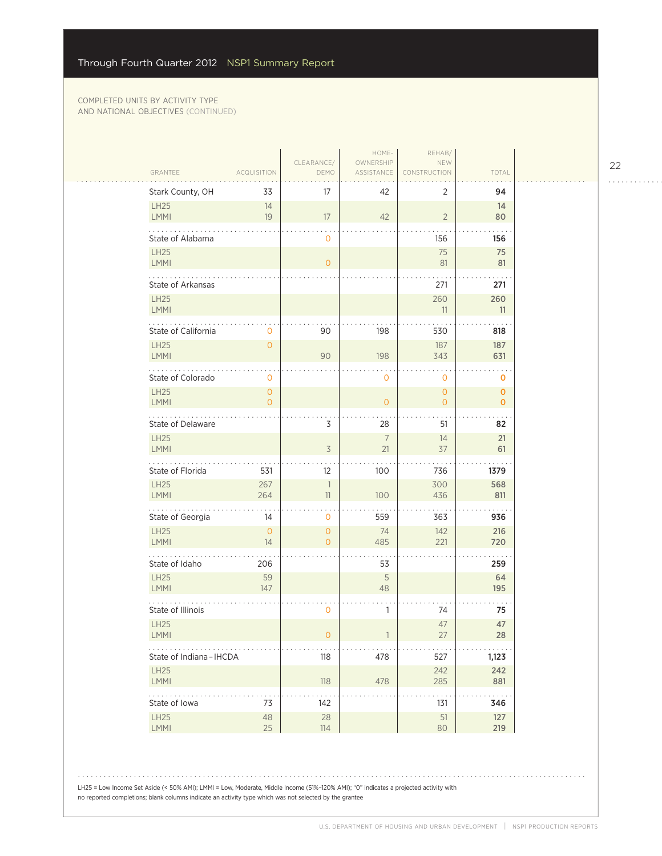|                             |                          |                            | HOME-                   | REHAB/                       |                            |
|-----------------------------|--------------------------|----------------------------|-------------------------|------------------------------|----------------------------|
| GRANTEE                     | <b>ACQUISITION</b>       | CLEARANCE/<br>DEMO         | OWNERSHIP<br>ASSISTANCE | NEW<br><b>RUCTION</b>        | TOTAL                      |
| Stark County, OH            | 33                       | 17                         | 42                      | 2                            | 94                         |
| LH25<br><b>LMMI</b>         | 14<br>19                 | 17                         | 42                      | $\overline{2}$               | 14<br>80                   |
| State of Alabama            |                          | $\circ$                    |                         | 156                          | $\ddotsc$<br>156           |
| <b>LH25</b><br>LMMI         |                          | $\overline{0}$             |                         | 75<br>81                     | 75<br>81                   |
| .<br>State of Arkansas      |                          |                            |                         | 271                          | 271                        |
| <b>LH25</b><br><b>LMMI</b>  |                          |                            |                         | 260<br>11                    | 260<br>11                  |
| State of California         | $\circ$                  | 90                         | 198                     | 530                          | 818                        |
| <b>LH25</b><br>LMMI         | $\mathbf{O}$             | 90                         | 198                     | 187<br>343                   | 187<br>631                 |
| State of Colorado           | 0                        |                            | 0                       | $\mathbf 0$                  | 0                          |
| <b>LH25</b><br>LMMI         | $\mathbf{O}$<br>$\Omega$ |                            | $\overline{O}$          | $\mathbf{O}$<br>$\mathbf{O}$ | $\mathbf 0$<br>$\mathbf 0$ |
| 2020au<br>State of Delaware |                          | 3                          | 28                      | 51                           | 82                         |
| <b>LH25</b><br>LMMI         |                          | $\overline{3}$             | $7\overline{ }$<br>21   | 14<br>37                     | 21<br>61                   |
| State of Florida            | 531                      | 12                         | 100                     | 736                          | 1379                       |
| <b>LH25</b><br>LMMI         | 267<br>264               | $\overline{1}$<br>11       | 100                     | 300<br>436                   | 568<br>811                 |
| .<br>State of Georgia       | 14                       | 0                          | 559                     | 363                          | 936                        |
| <b>LH25</b><br><b>LMMI</b>  | $\overline{0}$<br>14     | $\overline{O}$<br>$\Omega$ | 74<br>485               | 142<br>221                   | 216<br>720                 |
| State of Idaho              | 206                      |                            | 53                      |                              | 259                        |
| <b>LH25</b><br>LMMI         | 59<br>147                |                            | 5<br>48                 |                              | 64<br>195                  |
| State of Illinois           |                          | 0                          | 1                       | 74                           | 75                         |
| <b>LH25</b><br><b>LMMI</b>  |                          | 0                          |                         | 47<br>27                     | 47<br>28                   |
| State of Indiana-IHCDA      |                          | 118                        | 478                     | 527                          | 1,123                      |
| <b>LH25</b><br><b>LMMI</b>  |                          | 118                        | 478                     | 242<br>285                   | 242<br>881                 |
| .<br>State of Iowa          | 73                       | 142                        |                         | 131                          | 346                        |
| LH25<br>LMMI                | 48<br>25                 | 28<br>114                  |                         | 51<br>80                     | 127<br>219                 |
|                             |                          |                            |                         |                              |                            |

22

. . . . . . . . . . . .

LH25 = Low Income Set Aside (< 50% AMI); LMMI = Low, Moderate, Middle Income (51%–120% AMI); "0" indicates a projected activity with no reported completions; blank columns indicate an activity type which was not selected by the grantee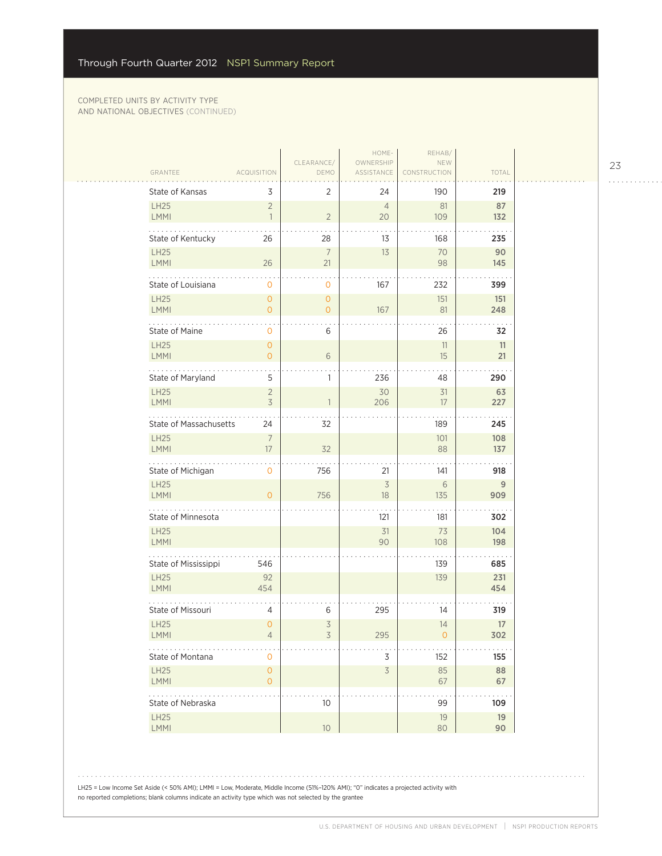$\mathcal{L}_{\mathcal{A}}$ 

| GRANTEE                             | <b>ACQUISITION</b>                    | CLEARANCE/<br>DEMO             | HOME-<br>OWNERSHIP<br>ASSISTANCE | REHAB/<br>NEW<br>CONSTRUCTION | TOTAL      |  |
|-------------------------------------|---------------------------------------|--------------------------------|----------------------------------|-------------------------------|------------|--|
| State of Kansas                     | 3                                     | $\overline{2}$                 | 24                               | 190                           | 219        |  |
| <b>LH25</b><br>LMMI                 | $\overline{2}$<br>$\mathbf{1}$        | $\overline{2}$                 | $\overline{4}$<br>20             | 81<br>109                     | 87<br>132  |  |
| State of Kentucky                   | 26                                    | 28                             | 13                               | 168                           | 235        |  |
| LH25<br><b>LMMI</b>                 | 26                                    | $\overline{7}$<br>21           | 13                               | 70<br>98                      | 90<br>145  |  |
| State of Louisiana                  | 0                                     | 0                              | 167                              | 232                           | 399        |  |
| <b>LH25</b><br><b>LMMI</b>          | $\overline{O}$<br>$\overline{0}$      | $\mathbf{0}$<br>$\overline{O}$ | 167                              | 151<br>81                     | 151<br>248 |  |
| State of Maine                      | 0                                     | 6                              |                                  | 26                            | 32         |  |
| <b>LH25</b>                         | $\overline{O}$                        |                                |                                  | 11                            | 11         |  |
| LMMI                                | $\overline{0}$                        | $6\,$                          |                                  | 15                            | 21         |  |
| State of Maryland<br><b>LH25</b>    | 5<br>$\overline{2}$                   | 1                              | 236<br>30                        | 48<br>31                      | 290<br>63  |  |
| <b>LMMI</b>                         | 3                                     | 1                              | 206                              | 17                            | 227        |  |
| State of Massachusetts              | 24                                    | 32                             |                                  | 189                           | 245        |  |
| <b>LH25</b><br>LMMI                 | $\overline{7}$<br>17                  | 32                             |                                  | 101<br>88                     | 108<br>137 |  |
| State of Michigan                   | 0                                     | 756                            | 21                               | 141                           | 918        |  |
| <b>LH25</b><br>LMMI                 | $\Omega$                              | 756                            | $\overline{3}$<br>18             | 6<br>135                      | 9<br>909   |  |
| State of Minnesota                  |                                       |                                | 121                              | 181                           | 302        |  |
| LH25                                |                                       |                                | 31                               | 73                            | 104        |  |
| <b>LMMI</b>                         |                                       |                                | 90                               | 108                           | 198        |  |
| State of Mississippi<br><b>LH25</b> | 546<br>92                             |                                |                                  | 139<br>139                    | 685<br>231 |  |
| <b>LMMI</b>                         | 454                                   |                                |                                  |                               | 454        |  |
| State of Missouri                   | 4                                     | 6                              | 295                              | 14                            | 319        |  |
| LH25<br><b>LMMI</b>                 | $\overline{0}$<br>4                   | 3<br>3                         | 295                              | 14<br>0                       | 17<br>302  |  |
| State of Montana                    | 0                                     |                                | 3                                | 152                           | 155        |  |
| <b>LH25</b><br>LMMI                 | $\mathsf{O}\xspace$<br>$\overline{0}$ |                                | $\overline{\mathcal{S}}$         | 85<br>67                      | 88<br>67   |  |
| State of Nebraska                   |                                       | 10                             |                                  | 99                            | 109        |  |
| LH25                                |                                       |                                |                                  | 19                            | 19         |  |
| LMMI                                |                                       | 10 <sup>°</sup>                |                                  | 80                            | 90         |  |

LH25 = Low Income Set Aside (< 50% AMI); LMMI = Low, Moderate, Middle Income (51%–120% AMI); "0" indicates a projected activity with no reported completions; blank columns indicate an activity type which was not selected by the grantee

23

. . . . . . . . . . . .

المتحدث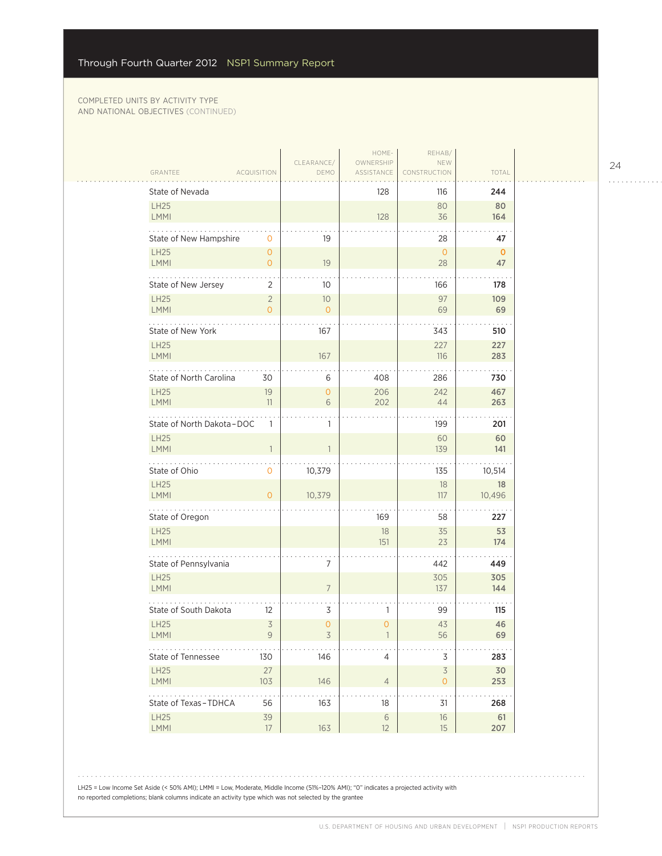$\sim$  .  $\sim$ 

|                            |                                  |                      | HOME-                   | REHAB/                              |                   |
|----------------------------|----------------------------------|----------------------|-------------------------|-------------------------------------|-------------------|
| GRANTEE                    | <b>ACQUISITION</b>               | CLEARANCE/<br>DEMO   | OWNERSHIP<br>ASSISTANCE | NEW<br>CONSTRUCTION                 | TOTAL             |
| State of Nevada            |                                  |                      | 128                     | 116                                 | 244               |
| <b>LH25</b><br>LMMI        |                                  |                      | 128                     | 80<br>36                            | 80<br>164         |
| State of New Hampshire     | 0                                | 19                   |                         | 28                                  | 47                |
| <b>LH25</b><br><b>LMMI</b> | $\overline{O}$<br>$\overline{O}$ | 19                   |                         | $\mathbf{O}$<br>28                  | $\mathbf 0$<br>47 |
| State of New Jersey        | 2                                | 10                   |                         | 166                                 | 178               |
| <b>LH25</b><br><b>LMMI</b> | $\overline{2}$<br>$\Omega$       | 10<br>$\overline{O}$ |                         | 97<br>69                            | 109<br>69         |
| State of New York          |                                  | 167                  |                         | 343                                 | 510               |
| <b>LH25</b><br>LMMI        |                                  | 167                  |                         | 227<br>116                          | 227<br>283        |
| State of North Carolina    | 30                               | 6                    | 408                     | 286                                 | 730               |
| <b>LH25</b><br><b>LMMI</b> | 19<br>11                         | $\overline{O}$<br>6  | 206<br>202              | 242<br>44                           | 467<br>263        |
| State of North Dakota-DOC  | $\mathbf{1}$                     | 1                    |                         | 199                                 | 201               |
| <b>LH25</b><br>LMMI        | $\mathbb{1}$                     |                      |                         | 60<br>139                           | 60<br>141         |
| State of Ohio              | $\mathsf{O}$                     | 10,379               |                         | 135                                 | 10,514            |
| <b>LH25</b><br>LMMI        | $\Omega$                         | 10,379               |                         | 18<br>117                           | 18<br>10,496      |
| .<br>State of Oregon       |                                  |                      | 169                     | 58                                  | 227               |
| LH25<br><b>LMMI</b>        |                                  |                      | 18<br>151               | 35<br>23                            | 53<br>174         |
| State of Pennsylvania      |                                  | 7                    |                         | 442                                 | 449               |
| <b>LH25</b><br>LMMI        |                                  | $\overline{7}$       |                         | 305<br>137                          | 305<br>144        |
| State of South Dakota      | 12                               | 3                    | 1                       | 99                                  | 115               |
| <b>LH25</b><br><b>LMMI</b> | $\overline{3}$<br>9              | 0<br>3               | $\mathbf 0$             | 43<br>56                            | 46<br>69          |
| State of Tennessee         | 130                              | 146                  | $\overline{4}$          | 3                                   | 283               |
| <b>LH25</b><br><b>LMMI</b> | 27<br>103                        | 146                  | $\overline{4}$          | $\overline{\mathcal{S}}$<br>$\circ$ | 30<br>253         |
| State of Texas-TDHCA       | 56                               | 163                  | 18                      | 31                                  | .<br>268          |
| LH25<br>LMMI               | 39<br>17                         | 163                  | $\sqrt{6}$<br>12        | 16<br>15                            | 61<br>207         |

LH25 = Low Income Set Aside (< 50% AMI); LMMI = Low, Moderate, Middle Income (51%–120% AMI); "0" indicates a projected activity with no reported completions; blank columns indicate an activity type which was not selected by the grantee

24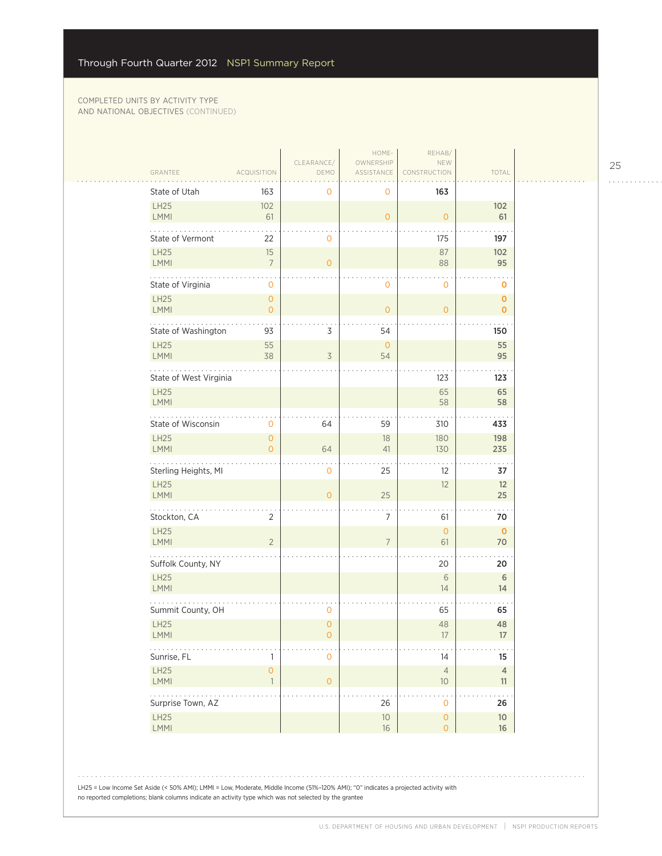| GRANTEE                | ACQUISITION                         | CLEARANCE/<br>DEMO       | HOME-<br>OWNERSHIP<br>ASSISTANCE | REHAB/<br>NEW<br><b>RUCTION</b>             | TOTAL                |
|------------------------|-------------------------------------|--------------------------|----------------------------------|---------------------------------------------|----------------------|
| State of Utah          | 163                                 | 0                        | 0                                | 163                                         |                      |
| LH25<br>LMMI           | 102<br>61                           |                          | $\mathbf{O}$                     | $\circ$                                     | 102<br>61            |
| State of Vermont       | 22                                  | 0                        |                                  | 175                                         | 197                  |
| LH25<br>LMMI           | 15<br>$\overline{7}$                | $\mathbf{O}$             |                                  | 87<br>88                                    | 102<br>95            |
| State of Virginia      | $\mathbf 0$                         |                          | $\mathbf{O}$                     | $\mathbf 0$                                 | $\mathbf 0$          |
| <b>LH25</b><br>LMMI    | $\overline{0}$<br>$\overline{0}$    |                          | $\mathbf{O}$                     | $\circ$                                     | $\mathbf 0$<br>0     |
| State of Washington    | 93                                  | 3                        | 54                               |                                             | 150                  |
| LH25<br>LMMI           | 55<br>38                            | $\overline{\mathcal{S}}$ | $\overline{O}$<br>54             |                                             | 55<br>95             |
| State of West Virginia |                                     |                          |                                  | 123                                         | 123                  |
| <b>LH25</b><br>LMMI    |                                     |                          |                                  | 65<br>58                                    | 65<br>58             |
| State of Wisconsin     | 0                                   | 64                       | 59                               | 310                                         | 433                  |
| <b>LH25</b><br>LMMI    | $\mathbf{O}$<br>$\overline{0}$      | 64                       | 18<br>41                         | 180<br>130                                  | 198<br>235           |
| Sterling Heights, MI   |                                     | 0                        | 25                               | $12 \overline{ }$                           | 37                   |
| LH25<br>LMMI           |                                     | $\overline{0}$           | 25                               | 12                                          | 12<br>25             |
| .<br>Stockton, CA      | $\overline{2}$                      |                          | 7                                | 61                                          | 70                   |
| LH25<br>LMMI           | $\overline{2}$                      |                          | $\overline{7}$                   | $\circ$<br>61                               | $\mathbf 0$<br>70    |
| Suffolk County, NY     |                                     |                          |                                  | 20                                          | 20                   |
| LH25<br>LMMI           |                                     |                          |                                  | $6\,$<br>14                                 | $6\,$<br>14          |
| Summit County, OH      |                                     | 0                        |                                  | 65                                          | 65                   |
| <b>LH25</b><br>LMMI    |                                     | $\overline{0}$<br>0      |                                  | 48<br>17                                    | 48<br>17             |
| .<br>Sunrise, FL       | 1                                   | $\mathbf 0$              |                                  | 14                                          | $15\phantom{.0}$     |
| LH25<br><b>LMMI</b>    | $\mathsf{O}\xspace$<br>$\mathbf{1}$ | $\mathsf{O}\xspace$      |                                  | $\overline{4}$<br>$10$                      | $\overline{4}$<br>11 |
| .<br>Surprise Town, AZ |                                     |                          | 26                               | $\ddot{\phantom{0}}$<br>$\mathsf{O}\xspace$ | 26                   |
| LH25<br>LMMI           |                                     |                          | $10$<br>16                       | $\mathsf{O}\xspace$<br>$\mathsf{O}\xspace$  | $10$<br>16           |

LH25 = Low Income Set Aside (< 50% AMI); LMMI = Low, Moderate, Middle Income (51%–120% AMI); "0" indicates a projected activity with no reported completions; blank columns indicate an activity type which was not selected by the grantee

25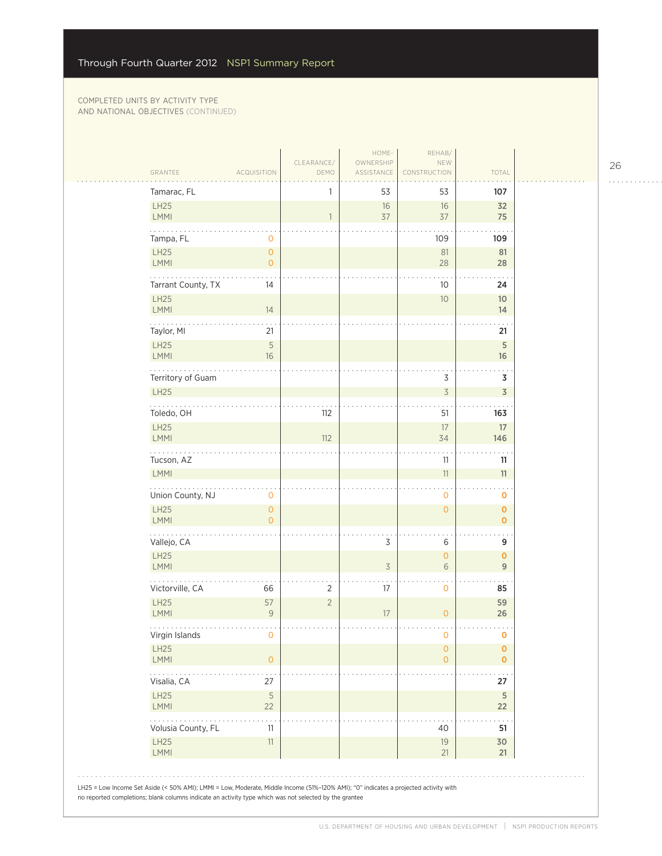| Tamarac, FL               |                                       | 1              | 53                       | 53                                  | 107                            |
|---------------------------|---------------------------------------|----------------|--------------------------|-------------------------------------|--------------------------------|
| LH25<br>LMMI              |                                       | 1              | 16<br>37                 | 16<br>37                            | 32<br>75                       |
| Tampa, FL                 | 0                                     |                |                          | 109                                 | 109                            |
| LH25<br>LMMI              | $\mathsf{O}\xspace$<br>$\mathbf{O}$   |                |                          | 81<br>28                            | 81<br>28                       |
| .<br>Tarrant County, TX   | 14                                    |                |                          | 10                                  | 24                             |
| LH25<br>LMMI              | 14                                    |                |                          | 10                                  | 10 <sup>°</sup><br>14          |
| Taylor, MI                | 21                                    |                |                          |                                     | 21                             |
| <b>LH25</b><br>LMMI       | $\mathsf S$<br>16                     |                |                          |                                     | $\sqrt{5}$<br>16               |
| Territory of Guam         |                                       |                |                          | 3                                   | 3                              |
| LH25                      |                                       |                |                          | $\overline{\mathcal{S}}$            | $\overline{3}$                 |
| Toledo, OH                |                                       | 112            |                          | 51                                  | 163                            |
| LH25<br>LMMI              |                                       | 112            |                          | 17<br>34                            | 17<br>146                      |
| Tucson, AZ<br>LMMI        |                                       |                |                          | 11<br>$11\,$                        | 11<br>11                       |
| Union County, NJ          | 0                                     |                |                          | $\mathbf 0$                         | 0                              |
| <b>LH25</b><br>LMMI       | $\mathsf{O}\xspace$<br>$\overline{O}$ |                |                          | $\mathsf{O}\xspace$                 | $\pmb{0}$<br>$\mathbf{O}$      |
| والمتمامية<br>Vallejo, CA |                                       |                | 3                        | 6                                   | 9                              |
| LH25<br>LMMI              |                                       |                | $\overline{\mathcal{S}}$ | $\mathsf{O}\xspace$<br>6            | $\mathbf{O}$<br>$\overline{9}$ |
| Victorville, CA           | 66                                    | $\overline{2}$ | 17                       | $\mathbf 0$                         | 85                             |
| LH25<br>LMMI              | 57<br>$\overline{9}$                  | $\sqrt{2}$     | 17                       | $\overline{0}$                      | 59<br>26                       |
| Virgin Islands            | O                                     |                |                          | O                                   | O                              |
| LH25<br>LMMI              | $\circ$                               |                |                          | $\mathsf{O}\xspace$<br>$\mathbf{O}$ | $\mathbf 0$<br>$\mathbf{O}$    |
| Visalia, CA               | 27                                    |                |                          |                                     | 27                             |
| <b>LH25</b><br>LMMI       | $\mathsf S$<br>22                     |                |                          |                                     | $\sqrt{5}$<br>22               |
| .<br>Volusia County, FL   | 11                                    |                |                          | 40                                  | 51                             |
| LH25<br>LMMI              | $11\,$                                |                |                          | 19<br>21                            | 30<br>21                       |

26